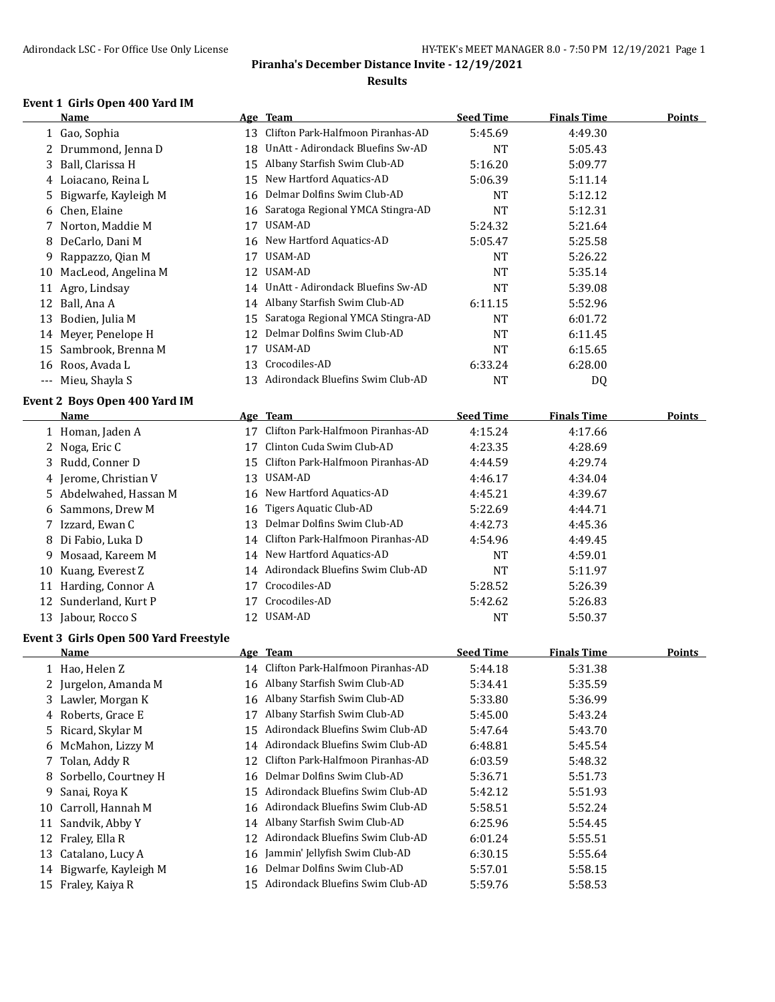### **Results**

### **Event 1 Girls Open 400 Yard IM**

|    | <b>Name</b>                           |    | Age Team                             | <b>Seed Time</b> | <b>Finals Time</b> | <b>Points</b> |
|----|---------------------------------------|----|--------------------------------------|------------------|--------------------|---------------|
|    | 1 Gao, Sophia                         | 13 | Clifton Park-Halfmoon Piranhas-AD    | 5:45.69          | 4:49.30            |               |
| 2  | Drummond, Jenna D                     | 18 | UnAtt - Adirondack Bluefins Sw-AD    | <b>NT</b>        | 5:05.43            |               |
| 3  | Ball, Clarissa H                      | 15 | Albany Starfish Swim Club-AD         | 5:16.20          | 5:09.77            |               |
| 4  | Loiacano, Reina L                     | 15 | New Hartford Aquatics-AD             | 5:06.39          | 5:11.14            |               |
| 5  | Bigwarfe, Kayleigh M                  | 16 | Delmar Dolfins Swim Club-AD          | NT               | 5:12.12            |               |
| 6  | Chen, Elaine                          | 16 | Saratoga Regional YMCA Stingra-AD    | <b>NT</b>        | 5:12.31            |               |
| 7  | Norton, Maddie M                      | 17 | USAM-AD                              | 5:24.32          | 5:21.64            |               |
| 8  | DeCarlo, Dani M                       | 16 | New Hartford Aquatics-AD             | 5:05.47          | 5:25.58            |               |
| 9  | Rappazzo, Qian M                      |    | 17 USAM-AD                           | <b>NT</b>        | 5:26.22            |               |
| 10 | MacLeod, Angelina M                   |    | 12 USAM-AD                           | <b>NT</b>        | 5:35.14            |               |
| 11 | Agro, Lindsay                         |    | 14 UnAtt - Adirondack Bluefins Sw-AD | <b>NT</b>        | 5:39.08            |               |
|    | 12 Ball, Ana A                        |    | 14 Albany Starfish Swim Club-AD      | 6:11.15          | 5:52.96            |               |
| 13 | Bodien, Julia M                       | 15 | Saratoga Regional YMCA Stingra-AD    | <b>NT</b>        | 6:01.72            |               |
| 14 | Meyer, Penelope H                     | 12 | Delmar Dolfins Swim Club-AD          | NT               | 6:11.45            |               |
| 15 | Sambrook, Brenna M                    |    | 17 USAM-AD                           | <b>NT</b>        | 6:15.65            |               |
|    | 16 Roos, Avada L                      | 13 | Crocodiles-AD                        | 6:33.24          | 6:28.00            |               |
|    | --- Mieu, Shayla S                    | 13 | Adirondack Bluefins Swim Club-AD     | <b>NT</b>        | DQ                 |               |
|    | Event 2 Boys Open 400 Yard IM         |    |                                      |                  |                    |               |
|    | Name                                  |    | Age Team                             | <b>Seed Time</b> | <b>Finals Time</b> | <b>Points</b> |
|    | 1 Homan, Jaden A                      |    | 17 Clifton Park-Halfmoon Piranhas-AD | 4:15.24          | 4:17.66            |               |
|    | 2 Noga, Eric C                        | 17 | Clinton Cuda Swim Club-AD            | 4:23.35          | 4:28.69            |               |
| 3  | Rudd, Conner D                        | 15 | Clifton Park-Halfmoon Piranhas-AD    | 4:44.59          | 4:29.74            |               |
| 4  | Jerome, Christian V                   | 13 | USAM-AD                              | 4:46.17          | 4:34.04            |               |
| 5. | Abdelwahed, Hassan M                  |    | 16 New Hartford Aquatics-AD          | 4:45.21          | 4:39.67            |               |
| 6  | Sammons, Drew M                       | 16 | <b>Tigers Aquatic Club-AD</b>        | 5:22.69          | 4:44.71            |               |
| 7  | Izzard, Ewan C                        | 13 | Delmar Dolfins Swim Club-AD          | 4:42.73          | 4:45.36            |               |
| 8  | Di Fabio, Luka D                      | 14 | Clifton Park-Halfmoon Piranhas-AD    | 4:54.96          | 4:49.45            |               |
| 9  | Mosaad, Kareem M                      | 14 | New Hartford Aquatics-AD             | <b>NT</b>        | 4:59.01            |               |
| 10 | Kuang, Everest Z                      | 14 | Adirondack Bluefins Swim Club-AD     | <b>NT</b>        | 5:11.97            |               |
|    | 11 Harding, Connor A                  | 17 | Crocodiles-AD                        | 5:28.52          | 5:26.39            |               |
|    | 12 Sunderland, Kurt P                 | 17 | Crocodiles-AD                        | 5:42.62          | 5:26.83            |               |
|    | 13 Jabour, Rocco S                    |    | 12 USAM-AD                           | <b>NT</b>        | 5:50.37            |               |
|    | Event 3 Girls Open 500 Yard Freestyle |    |                                      |                  |                    |               |
|    | Name                                  |    | Age Team                             | <b>Seed Time</b> | <b>Finals Time</b> | Points        |
|    | 1 Hao, Helen Z                        |    | 14 Clifton Park-Halfmoon Piranhas-AD | 5:44.18          | 5:31.38            |               |
|    | 2 Jurgelon, Amanda M                  |    | 16 Albany Starfish Swim Club-AD      | 5:34.41          | 5:35.59            |               |
|    | 3 Lawler, Morgan K                    | 16 | Albany Starfish Swim Club-AD         | 5:33.80          | 5:36.99            |               |
| 4  | Roberts, Grace E                      | 17 | Albany Starfish Swim Club-AD         | 5:45.00          | 5:43.24            |               |
| 5  | Ricard, Skylar M                      | 15 | Adirondack Bluefins Swim Club-AD     | 5:47.64          | 5:43.70            |               |
| 6  | McMahon, Lizzy M                      | 14 | Adirondack Bluefins Swim Club-AD     | 6:48.81          | 5:45.54            |               |
| 7  | Tolan, Addy R                         | 12 | Clifton Park-Halfmoon Piranhas-AD    | 6:03.59          | 5:48.32            |               |
|    | 8 Sorbello, Courtney H                |    | 16 Delmar Dolfins Swim Club-AD       | 5:36.71          | 5:51.73            |               |

 Sanai, Roya K 15 Adirondack Bluefins Swim Club-AD 5:42.12 5:51.93 10 Carroll, Hannah M 16 Adirondack Bluefins Swim Club-AD 5:58.51 5:52.24 Sandvik, Abby Y 14 Albany Starfish Swim Club-AD 6:25.96 5:54.45 12 Fraley, Ella R 12 Adirondack Bluefins Swim Club-AD 6:01.24 5:55.51 Catalano, Lucy A 16 Jammin' Jellyfish Swim Club-AD 6:30.15 5:55.64 Bigwarfe, Kayleigh M 16 Delmar Dolfins Swim Club-AD 5:57.01 5:58.15 Fraley, Kaiya R 15 Adirondack Bluefins Swim Club-AD 5:59.76 5:58.53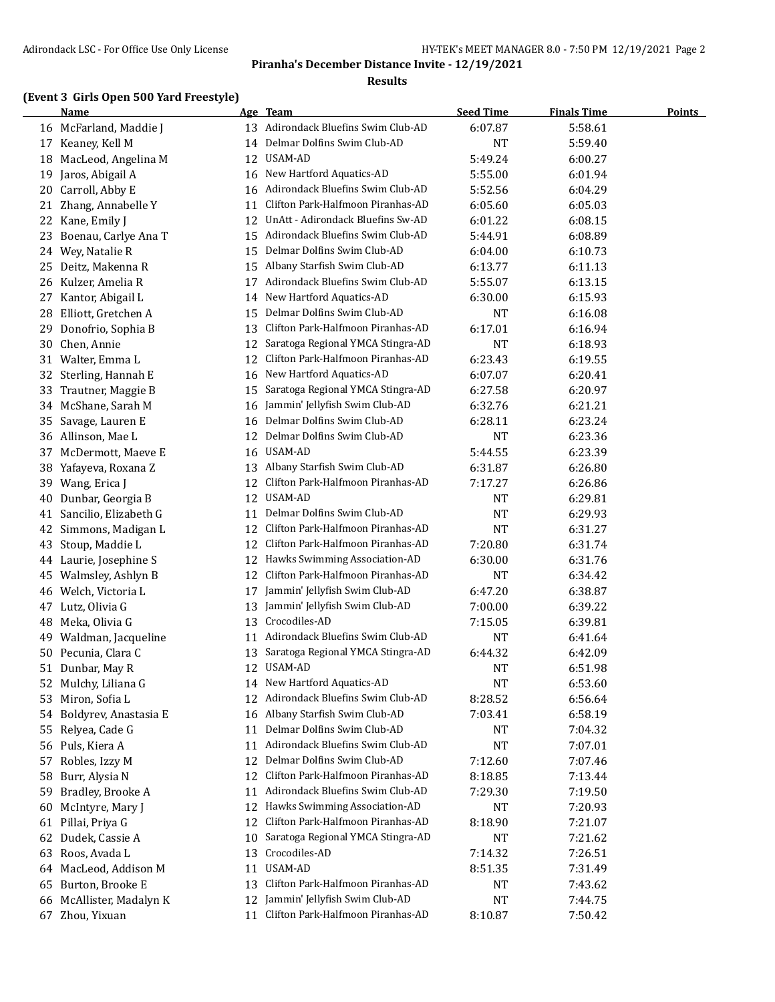### **Results**

## **(Event 3 Girls Open 500 Yard Freestyle)**

|     | Name                   |    | Age Team                                           | <b>Seed Time</b> | <b>Finals Time</b> | Points |
|-----|------------------------|----|----------------------------------------------------|------------------|--------------------|--------|
|     | 16 McFarland, Maddie J |    | 13 Adirondack Bluefins Swim Club-AD                | 6:07.87          | 5:58.61            |        |
|     | 17 Keaney, Kell M      | 14 | Delmar Dolfins Swim Club-AD                        | <b>NT</b>        | 5:59.40            |        |
| 18  | MacLeod, Angelina M    | 12 | USAM-AD                                            | 5:49.24          | 6:00.27            |        |
| 19  | Jaros, Abigail A       | 16 | New Hartford Aquatics-AD                           | 5:55.00          | 6:01.94            |        |
| 20  | Carroll, Abby E        | 16 | Adirondack Bluefins Swim Club-AD                   | 5:52.56          | 6:04.29            |        |
| 21  | Zhang, Annabelle Y     | 11 | Clifton Park-Halfmoon Piranhas-AD                  | 6:05.60          | 6:05.03            |        |
| 22  | Kane, Emily J          | 12 | UnAtt - Adirondack Bluefins Sw-AD                  | 6:01.22          | 6:08.15            |        |
| 23  | Boenau, Carlye Ana T   | 15 | Adirondack Bluefins Swim Club-AD                   | 5:44.91          | 6:08.89            |        |
|     | 24 Wey, Natalie R      | 15 | Delmar Dolfins Swim Club-AD                        | 6:04.00          | 6:10.73            |        |
|     | 25 Deitz, Makenna R    | 15 | Albany Starfish Swim Club-AD                       | 6:13.77          | 6:11.13            |        |
|     | 26 Kulzer, Amelia R    | 17 | Adirondack Bluefins Swim Club-AD                   | 5:55.07          | 6:13.15            |        |
| 27  | Kantor, Abigail L      | 14 | New Hartford Aquatics-AD                           | 6:30.00          | 6:15.93            |        |
| 28. | Elliott, Gretchen A    | 15 | Delmar Dolfins Swim Club-AD                        | NT               | 6:16.08            |        |
|     | 29 Donofrio, Sophia B  | 13 | Clifton Park-Halfmoon Piranhas-AD                  | 6:17.01          | 6:16.94            |        |
| 30  | Chen, Annie            | 12 | Saratoga Regional YMCA Stingra-AD                  | <b>NT</b>        | 6:18.93            |        |
| 31  | Walter, Emma L         | 12 | Clifton Park-Halfmoon Piranhas-AD                  | 6:23.43          | 6:19.55            |        |
|     | 32 Sterling, Hannah E  | 16 | New Hartford Aquatics-AD                           | 6:07.07          | 6:20.41            |        |
| 33  | Trautner, Maggie B     | 15 | Saratoga Regional YMCA Stingra-AD                  | 6:27.58          | 6:20.97            |        |
|     | 34 McShane, Sarah M    | 16 | Jammin' Jellyfish Swim Club-AD                     | 6:32.76          | 6:21.21            |        |
| 35  | Savage, Lauren E       | 16 | Delmar Dolfins Swim Club-AD                        | 6:28.11          | 6:23.24            |        |
|     | 36 Allinson, Mae L     | 12 | Delmar Dolfins Swim Club-AD                        | <b>NT</b>        | 6:23.36            |        |
|     | 37 McDermott, Maeve E  | 16 | USAM-AD                                            | 5:44.55          | 6:23.39            |        |
|     | 38 Yafayeva, Roxana Z  |    | 13 Albany Starfish Swim Club-AD                    | 6:31.87          | 6:26.80            |        |
|     | 39 Wang, Erica J       | 12 | Clifton Park-Halfmoon Piranhas-AD                  | 7:17.27          | 6:26.86            |        |
| 40  | Dunbar, Georgia B      | 12 | USAM-AD                                            | NT               | 6:29.81            |        |
| 41  | Sancilio, Elizabeth G  | 11 | Delmar Dolfins Swim Club-AD                        | <b>NT</b>        | 6:29.93            |        |
| 42  | Simmons, Madigan L     | 12 | Clifton Park-Halfmoon Piranhas-AD                  | <b>NT</b>        | 6:31.27            |        |
| 43  | Stoup, Maddie L        | 12 | Clifton Park-Halfmoon Piranhas-AD                  | 7:20.80          | 6:31.74            |        |
|     | 44 Laurie, Josephine S |    | 12 Hawks Swimming Association-AD                   | 6:30.00          | 6:31.76            |        |
| 45  | Walmsley, Ashlyn B     | 12 | Clifton Park-Halfmoon Piranhas-AD                  | <b>NT</b>        | 6:34.42            |        |
|     | 46 Welch, Victoria L   | 17 | Jammin' Jellyfish Swim Club-AD                     | 6:47.20          | 6:38.87            |        |
|     | 47 Lutz, Olivia G      | 13 | Jammin' Jellyfish Swim Club-AD                     | 7:00.00          | 6:39.22            |        |
| 48  | Meka, Olivia G         | 13 | Crocodiles-AD                                      | 7:15.05          | 6:39.81            |        |
|     | 49 Waldman, Jacqueline | 11 | Adirondack Bluefins Swim Club-AD                   | NT               | 6:41.64            |        |
| 50  | Pecunia, Clara C       | 13 | Saratoga Regional YMCA Stingra-AD                  | 6:44.32          | 6:42.09            |        |
| 51  | Dunbar, May R          |    | 12 USAM-AD                                         | <b>NT</b>        | 6:51.98            |        |
| 52  | Mulchy, Liliana G      | 14 | New Hartford Aquatics-AD                           | <b>NT</b>        | 6:53.60            |        |
| 53  | Miron, Sofia L         | 12 | Adirondack Bluefins Swim Club-AD                   | 8:28.52          | 6:56.64            |        |
| 54  | Boldyrev, Anastasia E  | 16 | Albany Starfish Swim Club-AD                       | 7:03.41          | 6:58.19            |        |
| 55  | Relyea, Cade G         | 11 | Delmar Dolfins Swim Club-AD                        | NT               | 7:04.32            |        |
|     | 56 Puls, Kiera A       | 11 | Adirondack Bluefins Swim Club-AD                   | NT               | 7:07.01            |        |
| 57  | Robles, Izzy M         | 12 | Delmar Dolfins Swim Club-AD                        | 7:12.60          | 7:07.46            |        |
| 58  | Burr, Alysia N         | 12 | Clifton Park-Halfmoon Piranhas-AD                  | 8:18.85          | 7:13.44            |        |
| 59  | Bradley, Brooke A      | 11 | Adirondack Bluefins Swim Club-AD                   | 7:29.30          | 7:19.50            |        |
|     |                        | 12 | Hawks Swimming Association-AD                      |                  |                    |        |
| 60  | McIntyre, Mary J       |    | Clifton Park-Halfmoon Piranhas-AD                  | NT               | 7:20.93            |        |
| 61  | Pillai, Priya G        | 12 |                                                    | 8:18.90          | 7:21.07            |        |
| 62  | Dudek, Cassie A        | 10 | Saratoga Regional YMCA Stingra-AD<br>Crocodiles-AD | NT               | 7:21.62            |        |
| 63  | Roos, Avada L          | 13 |                                                    | 7:14.32          | 7:26.51            |        |
| 64  | MacLeod, Addison M     | 11 | USAM-AD                                            | 8:51.35          | 7:31.49            |        |
| 65  | Burton, Brooke E       | 13 | Clifton Park-Halfmoon Piranhas-AD                  | NT               | 7:43.62            |        |
| 66  | McAllister, Madalyn K  | 12 | Jammin' Jellyfish Swim Club-AD                     | <b>NT</b>        | 7:44.75            |        |
|     | 67 Zhou, Yixuan        | 11 | Clifton Park-Halfmoon Piranhas-AD                  | 8:10.87          | 7:50.42            |        |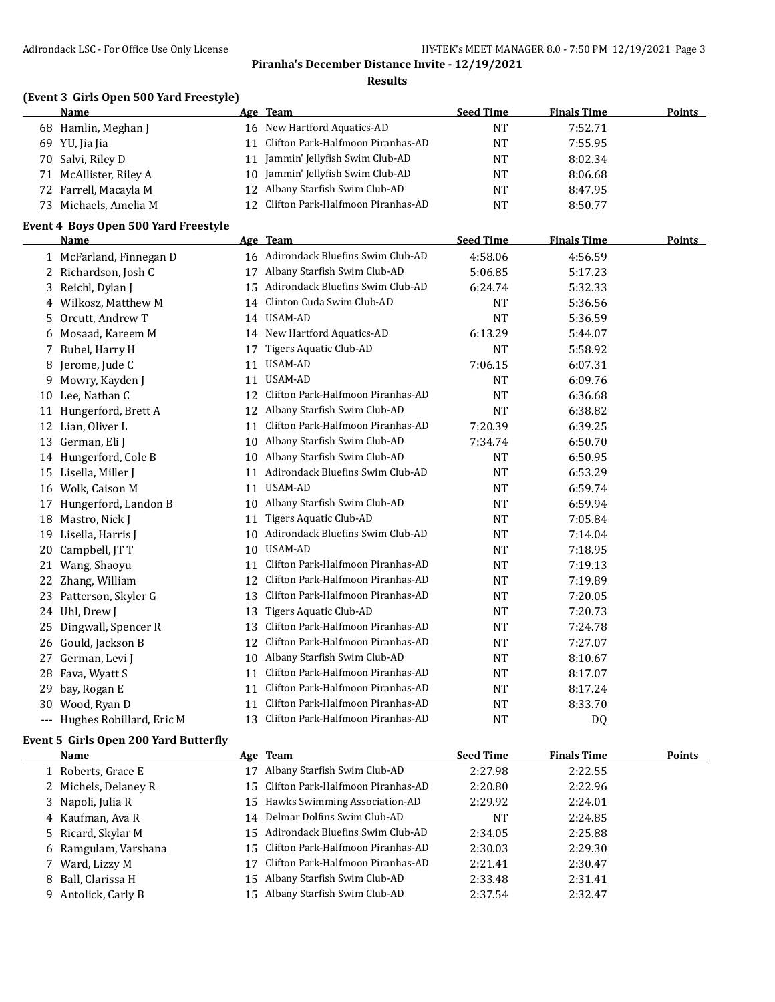### **Results**

## **(Event 3 Girls Open 500 Yard Freestyle)**

|    | <b>Name</b>            | Age Team                             | <b>Seed Time</b> | <b>Finals Time</b> | <b>Points</b> |
|----|------------------------|--------------------------------------|------------------|--------------------|---------------|
|    | 68 Hamlin, Meghan J    | 16 New Hartford Aquatics-AD          | NT               | 7:52.71            |               |
|    | 69 YU, Jia Jia         | Clifton Park-Halfmoon Piranhas-AD    | NT               | 7:55.95            |               |
|    | 70 Salvi, Riley D      | Jammin' Jellyfish Swim Club-AD       | <b>NT</b>        | 8:02.34            |               |
|    | 71 McAllister, Riley A | 10 Jammin' Jellyfish Swim Club-AD    | NT               | 8:06.68            |               |
|    | 72 Farrell, Macayla M  | 12 Albany Starfish Swim Club-AD      | NT               | 8:47.95            |               |
| 73 | Michaels, Amelia M     | 12 Clifton Park-Halfmoon Piranhas-AD | NT               | 8:50.77            |               |

### **Event 4 Boys Open 500 Yard Freestyle**

|     | <b>Name</b>              |    | Age Team                            | <b>Seed Time</b> | <b>Finals Time</b> | <b>Points</b> |
|-----|--------------------------|----|-------------------------------------|------------------|--------------------|---------------|
|     | 1 McFarland, Finnegan D  |    | 16 Adirondack Bluefins Swim Club-AD | 4:58.06          | 4:56.59            |               |
| 2   | Richardson, Josh C       | 17 | Albany Starfish Swim Club-AD        | 5:06.85          | 5:17.23            |               |
| 3   | Reichl, Dylan J          | 15 | Adirondack Bluefins Swim Club-AD    | 6:24.74          | 5:32.33            |               |
| 4   | Wilkosz, Matthew M       | 14 | Clinton Cuda Swim Club-AD           | <b>NT</b>        | 5:36.56            |               |
| 5   | Orcutt, Andrew T         | 14 | USAM-AD                             | <b>NT</b>        | 5:36.59            |               |
| 6   | Mosaad, Kareem M         | 14 | New Hartford Aquatics-AD            | 6:13.29          | 5:44.07            |               |
| 7   | Bubel, Harry H           | 17 | Tigers Aquatic Club-AD              | <b>NT</b>        | 5:58.92            |               |
| 8   | Jerome, Jude C           | 11 | <b>USAM-AD</b>                      | 7:06.15          | 6:07.31            |               |
| 9   | Mowry, Kayden J          | 11 | <b>USAM-AD</b>                      | <b>NT</b>        | 6:09.76            |               |
| 10  | Lee, Nathan C            | 12 | Clifton Park-Halfmoon Piranhas-AD   | <b>NT</b>        | 6:36.68            |               |
| 11  | Hungerford, Brett A      | 12 | Albany Starfish Swim Club-AD        | <b>NT</b>        | 6:38.82            |               |
| 12  | Lian, Oliver L           | 11 | Clifton Park-Halfmoon Piranhas-AD   | 7:20.39          | 6:39.25            |               |
| 13  | German, Eli J            | 10 | Albany Starfish Swim Club-AD        | 7:34.74          | 6:50.70            |               |
| 14  | Hungerford, Cole B       | 10 | Albany Starfish Swim Club-AD        | <b>NT</b>        | 6:50.95            |               |
| 15  | Lisella, Miller J        | 11 | Adirondack Bluefins Swim Club-AD    | <b>NT</b>        | 6:53.29            |               |
| 16  | Wolk, Caison M           | 11 | USAM-AD                             | <b>NT</b>        | 6:59.74            |               |
| 17  | Hungerford, Landon B     | 10 | Albany Starfish Swim Club-AD        | <b>NT</b>        | 6:59.94            |               |
| 18  | Mastro, Nick J           | 11 | Tigers Aquatic Club-AD              | <b>NT</b>        | 7:05.84            |               |
| 19  | Lisella, Harris J        | 10 | Adirondack Bluefins Swim Club-AD    | <b>NT</b>        | 7:14.04            |               |
| 20  | Campbell, JT T           | 10 | USAM-AD                             | <b>NT</b>        | 7:18.95            |               |
| 21  | Wang, Shaoyu             | 11 | Clifton Park-Halfmoon Piranhas-AD   | <b>NT</b>        | 7:19.13            |               |
| 22  | Zhang, William           | 12 | Clifton Park-Halfmoon Piranhas-AD   | <b>NT</b>        | 7:19.89            |               |
| 23  | Patterson, Skyler G      | 13 | Clifton Park-Halfmoon Piranhas-AD   | <b>NT</b>        | 7:20.05            |               |
| 24  | Uhl, Drew J              | 13 | Tigers Aquatic Club-AD              | <b>NT</b>        | 7:20.73            |               |
| 25  | Dingwall, Spencer R      | 13 | Clifton Park-Halfmoon Piranhas-AD   | <b>NT</b>        | 7:24.78            |               |
| 26  | Gould, Jackson B         | 12 | Clifton Park-Halfmoon Piranhas-AD   | <b>NT</b>        | 7:27.07            |               |
| 27  | German, Levi J           | 10 | Albany Starfish Swim Club-AD        | <b>NT</b>        | 8:10.67            |               |
| 28  | Fava, Wyatt S            | 11 | Clifton Park-Halfmoon Piranhas-AD   | <b>NT</b>        | 8:17.07            |               |
| 29  | bay, Rogan E             | 11 | Clifton Park-Halfmoon Piranhas-AD   | <b>NT</b>        | 8:17.24            |               |
| 30  | Wood, Ryan D             | 11 | Clifton Park-Halfmoon Piranhas-AD   | <b>NT</b>        | 8:33.70            |               |
| --- | Hughes Robillard, Eric M | 13 | Clifton Park-Halfmoon Piranhas-AD   | <b>NT</b>        | D <sub>0</sub>     |               |

### **Event 5 Girls Open 200 Yard Butterfly**

| Name                 |     | <u>Age Team</u>                      | <b>Seed Time</b> | <b>Finals Time</b> | <b>Points</b> |
|----------------------|-----|--------------------------------------|------------------|--------------------|---------------|
| 1 Roberts, Grace E   | 17  | Albany Starfish Swim Club-AD         | 2:27.98          | 2:22.55            |               |
| 2 Michels, Delaney R |     | 15 Clifton Park-Halfmoon Piranhas-AD | 2:20.80          | 2:22.96            |               |
| 3 Napoli, Julia R    |     | 15 Hawks Swimming Association-AD     | 2:29.92          | 2:24.01            |               |
| 4 Kaufman, Aya R     | 14  | Delmar Dolfins Swim Club-AD          | NT               | 2:24.85            |               |
| 5 Ricard, Skylar M   |     | 15 Adirondack Bluefins Swim Club-AD  | 2:34.05          | 2:25.88            |               |
| 6 Ramgulam, Varshana |     | 15 Clifton Park-Halfmoon Piranhas-AD | 2:30.03          | 2:29.30            |               |
| 7 Ward, Lizzy M      | 17  | Clifton Park-Halfmoon Piranhas-AD    | 2:21.41          | 2:30.47            |               |
| 8 Ball. Clarissa H   |     | 15 Albany Starfish Swim Club-AD      | 2:33.48          | 2:31.41            |               |
| 9 Antolick, Carly B  | 15. | Albany Starfish Swim Club-AD         | 2:37.54          | 2:32.47            |               |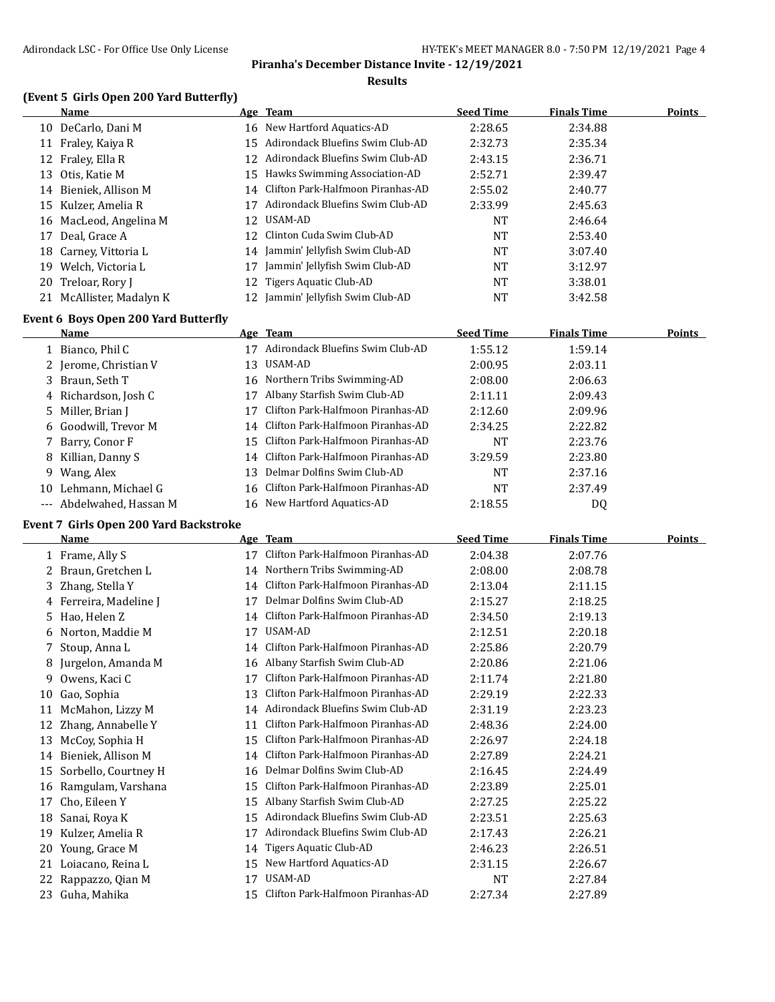### **Results**

## **(Event 5 Girls Open 200 Yard Butterfly)**

|    | Name                     |     | Age Team                             | <b>Seed Time</b> | <b>Finals Time</b> | <b>Points</b> |
|----|--------------------------|-----|--------------------------------------|------------------|--------------------|---------------|
|    | 10 DeCarlo, Dani M       |     | 16 New Hartford Aquatics-AD          | 2:28.65          | 2:34.88            |               |
| 11 | Fraley, Kaiya R          |     | 15 Adirondack Bluefins Swim Club-AD  | 2:32.73          | 2:35.34            |               |
|    | 12 Fraley, Ella R        |     | 12 Adirondack Bluefins Swim Club-AD  | 2:43.15          | 2:36.71            |               |
|    | 13 Otis, Katie M         |     | 15 Hawks Swimming Association-AD     | 2:52.71          | 2:39.47            |               |
|    | 14 Bieniek, Allison M    |     | 14 Clifton Park-Halfmoon Piranhas-AD | 2:55.02          | 2:40.77            |               |
|    | 15 Kulzer, Amelia R      | 17  | Adirondack Bluefins Swim Club-AD     | 2:33.99          | 2:45.63            |               |
|    | 16 MacLeod, Angelina M   | 12. | USAM-AD                              | NT               | 2:46.64            |               |
|    | 17 Deal, Grace A         | 12. | Clinton Cuda Swim Club-AD            | NT               | 2:53.40            |               |
|    | 18 Carney, Vittoria L    |     | 14 Jammin' Jellyfish Swim Club-AD    | NT               | 3:07.40            |               |
|    | 19 Welch, Victoria L     | 17  | Jammin' Jellyfish Swim Club-AD       | NT               | 3:12.97            |               |
|    | 20 Treloar, Rory J       |     | 12 Tigers Aquatic Club-AD            | NT               | 3:38.01            |               |
|    | 21 McAllister, Madalyn K |     | 12 Jammin' Jellyfish Swim Club-AD    | NT               | 3:42.58            |               |

## **Event 6 Boys Open 200 Yard Butterfly**

|    | Name                     |     | Age Team                             | <b>Seed Time</b> | <b>Finals Time</b> | Points |
|----|--------------------------|-----|--------------------------------------|------------------|--------------------|--------|
|    | 1 Bianco, Phil C         |     | Adirondack Bluefins Swim Club-AD     | 1:55.12          | 1:59.14            |        |
|    | 2 Jerome, Christian V    | 13  | USAM-AD                              | 2:00.95          | 2:03.11            |        |
|    | 3 Braun, Seth T          |     | 16 Northern Tribs Swimming-AD        | 2:08.00          | 2:06.63            |        |
|    | 4 Richardson, Josh C     |     | Albany Starfish Swim Club-AD         | 2:11.11          | 2:09.43            |        |
|    | 5 Miller, Brian J        |     | Clifton Park-Halfmoon Piranhas-AD    | 2:12.60          | 2:09.96            |        |
|    | 6 Goodwill, Trevor M     |     | 14 Clifton Park-Halfmoon Piranhas-AD | 2:34.25          | 2:22.82            |        |
|    | 7 Barry, Conor F         |     | 15 Clifton Park-Halfmoon Piranhas-AD | <b>NT</b>        | 2:23.76            |        |
|    | 8 Killian, Danny S       |     | 14 Clifton Park-Halfmoon Piranhas-AD | 3:29.59          | 2:23.80            |        |
|    | 9 Wang, Alex             | 13. | Delmar Dolfins Swim Club-AD          | <b>NT</b>        | 2:37.16            |        |
| 10 | Lehmann, Michael G       |     | 16 Clifton Park-Halfmoon Piranhas-AD | <b>NT</b>        | 2:37.49            |        |
|    | --- Abdelwahed, Hassan M |     | 16 New Hartford Aquatics-AD          | 2:18.55          | DQ                 |        |
|    |                          |     |                                      |                  |                    |        |

### **Event 7 Girls Open 200 Yard Backstroke**

 $\overline{\phantom{a}}$ 

|    | <b>Name</b>          |    | Age Team                          | <b>Seed Time</b> | <b>Finals Time</b> | Points |
|----|----------------------|----|-----------------------------------|------------------|--------------------|--------|
|    | 1 Frame, Ally S      | 17 | Clifton Park-Halfmoon Piranhas-AD | 2:04.38          | 2:07.76            |        |
| 2  | Braun, Gretchen L    | 14 | Northern Tribs Swimming-AD        | 2:08.00          | 2:08.78            |        |
| 3. | Zhang, Stella Y      | 14 | Clifton Park-Halfmoon Piranhas-AD | 2:13.04          | 2:11.15            |        |
| 4  | Ferreira, Madeline J | 17 | Delmar Dolfins Swim Club-AD       | 2:15.27          | 2:18.25            |        |
| 5  | Hao, Helen Z         | 14 | Clifton Park-Halfmoon Piranhas-AD | 2:34.50          | 2:19.13            |        |
| 6  | Norton, Maddie M     | 17 | USAM-AD                           | 2:12.51          | 2:20.18            |        |
|    | Stoup, Anna L        | 14 | Clifton Park-Halfmoon Piranhas-AD | 2:25.86          | 2:20.79            |        |
| 8  | Jurgelon, Amanda M   | 16 | Albany Starfish Swim Club-AD      | 2:20.86          | 2:21.06            |        |
| 9  | Owens, Kaci C        | 17 | Clifton Park-Halfmoon Piranhas-AD | 2:11.74          | 2:21.80            |        |
| 10 | Gao, Sophia          | 13 | Clifton Park-Halfmoon Piranhas-AD | 2:29.19          | 2:22.33            |        |
| 11 | McMahon, Lizzy M     | 14 | Adirondack Bluefins Swim Club-AD  | 2:31.19          | 2:23.23            |        |
|    | Zhang, Annabelle Y   | 11 | Clifton Park-Halfmoon Piranhas-AD | 2:48.36          | 2:24.00            |        |
| 13 | McCoy, Sophia H      | 15 | Clifton Park-Halfmoon Piranhas-AD | 2:26.97          | 2:24.18            |        |
| 14 | Bieniek, Allison M   | 14 | Clifton Park-Halfmoon Piranhas-AD | 2:27.89          | 2:24.21            |        |
| 15 | Sorbello, Courtney H | 16 | Delmar Dolfins Swim Club-AD       | 2:16.45          | 2:24.49            |        |
| 16 | Ramgulam, Varshana   | 15 | Clifton Park-Halfmoon Piranhas-AD | 2:23.89          | 2:25.01            |        |
| 17 | Cho, Eileen Y        | 15 | Albany Starfish Swim Club-AD      | 2:27.25          | 2:25.22            |        |
| 18 | Sanai, Roya K        | 15 | Adirondack Bluefins Swim Club-AD  | 2:23.51          | 2:25.63            |        |
| 19 | Kulzer, Amelia R     | 17 | Adirondack Bluefins Swim Club-AD  | 2:17.43          | 2:26.21            |        |
| 20 | Young, Grace M       | 14 | Tigers Aquatic Club-AD            | 2:46.23          | 2:26.51            |        |
| 21 | Loiacano, Reina L    | 15 | New Hartford Aquatics-AD          | 2:31.15          | 2:26.67            |        |
| 22 | Rappazzo, Qian M     | 17 | USAM-AD                           | <b>NT</b>        | 2:27.84            |        |
| 23 | Guha, Mahika         | 15 | Clifton Park-Halfmoon Piranhas-AD | 2:27.34          | 2:27.89            |        |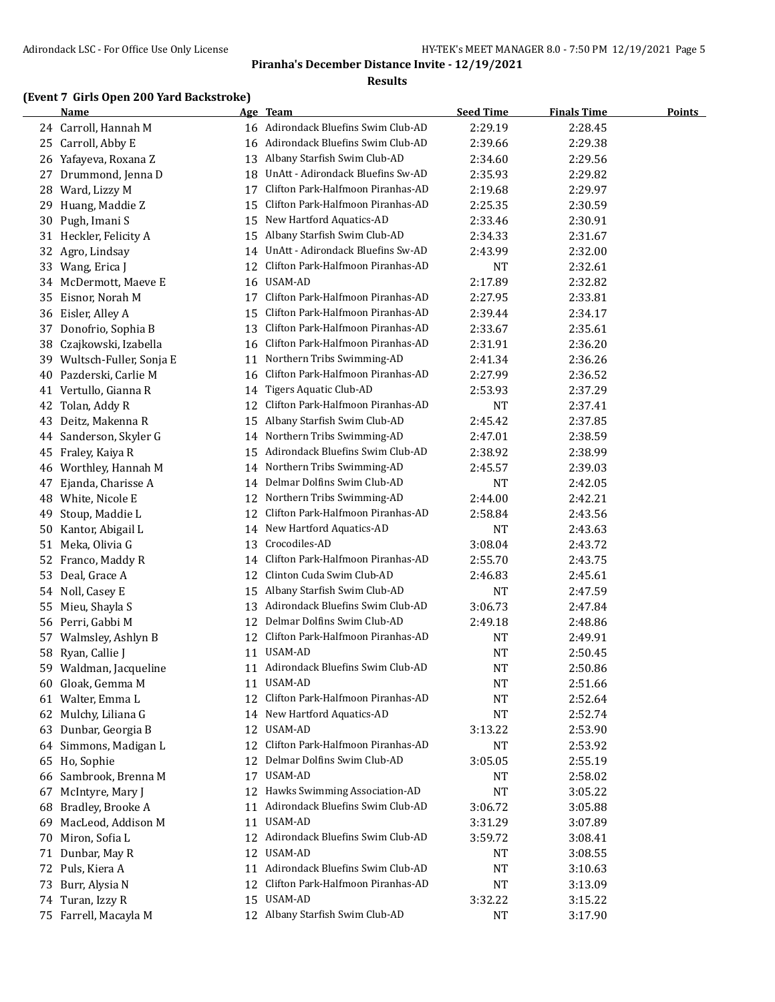### **Results**

## **(Event 7 Girls Open 200 Yard Backstroke)**

|     | Name                       |    | Age Team                            | <b>Seed Time</b> | <b>Finals Time</b> | <b>Points</b> |
|-----|----------------------------|----|-------------------------------------|------------------|--------------------|---------------|
|     | 24 Carroll, Hannah M       |    | 16 Adirondack Bluefins Swim Club-AD | 2:29.19          | 2:28.45            |               |
|     | 25 Carroll, Abby E         | 16 | Adirondack Bluefins Swim Club-AD    | 2:39.66          | 2:29.38            |               |
|     | 26 Yafayeva, Roxana Z      | 13 | Albany Starfish Swim Club-AD        | 2:34.60          | 2:29.56            |               |
|     | 27 Drummond, Jenna D       | 18 | UnAtt - Adirondack Bluefins Sw-AD   | 2:35.93          | 2:29.82            |               |
| 28  | Ward, Lizzy M              | 17 | Clifton Park-Halfmoon Piranhas-AD   | 2:19.68          | 2:29.97            |               |
| 29. | Huang, Maddie Z            | 15 | Clifton Park-Halfmoon Piranhas-AD   | 2:25.35          | 2:30.59            |               |
| 30  | Pugh, Imani S              | 15 | New Hartford Aquatics-AD            | 2:33.46          | 2:30.91            |               |
|     | 31 Heckler, Felicity A     | 15 | Albany Starfish Swim Club-AD        | 2:34.33          | 2:31.67            |               |
| 32  | Agro, Lindsay              | 14 | UnAtt - Adirondack Bluefins Sw-AD   | 2:43.99          | 2:32.00            |               |
|     | 33 Wang, Erica J           | 12 | Clifton Park-Halfmoon Piranhas-AD   | NT               | 2:32.61            |               |
|     | 34 McDermott, Maeve E      | 16 | USAM-AD                             | 2:17.89          | 2:32.82            |               |
|     | 35 Eisnor, Norah M         | 17 | Clifton Park-Halfmoon Piranhas-AD   | 2:27.95          | 2:33.81            |               |
|     | 36 Eisler, Alley A         | 15 | Clifton Park-Halfmoon Piranhas-AD   | 2:39.44          | 2:34.17            |               |
| 37  | Donofrio, Sophia B         | 13 | Clifton Park-Halfmoon Piranhas-AD   | 2:33.67          | 2:35.61            |               |
| 38  | Czajkowski, Izabella       | 16 | Clifton Park-Halfmoon Piranhas-AD   | 2:31.91          | 2:36.20            |               |
|     | 39 Wultsch-Fuller, Sonja E | 11 | Northern Tribs Swimming-AD          | 2:41.34          | 2:36.26            |               |
| 40  | Pazderski, Carlie M        | 16 | Clifton Park-Halfmoon Piranhas-AD   | 2:27.99          | 2:36.52            |               |
| 41  | Vertullo, Gianna R         | 14 | Tigers Aquatic Club-AD              | 2:53.93          | 2:37.29            |               |
| 42  | Tolan, Addy R              | 12 | Clifton Park-Halfmoon Piranhas-AD   | NT               | 2:37.41            |               |
| 43  | Deitz, Makenna R           | 15 | Albany Starfish Swim Club-AD        | 2:45.42          | 2:37.85            |               |
| 44  | Sanderson, Skyler G        | 14 | Northern Tribs Swimming-AD          | 2:47.01          | 2:38.59            |               |
| 45  | Fraley, Kaiya R            | 15 | Adirondack Bluefins Swim Club-AD    | 2:38.92          | 2:38.99            |               |
| 46  | Worthley, Hannah M         | 14 | Northern Tribs Swimming-AD          | 2:45.57          | 2:39.03            |               |
| 47  | Ejanda, Charisse A         | 14 | Delmar Dolfins Swim Club-AD         | NT               | 2:42.05            |               |
| 48  | White, Nicole E            | 12 | Northern Tribs Swimming-AD          | 2:44.00          | 2:42.21            |               |
| 49  | Stoup, Maddie L            | 12 | Clifton Park-Halfmoon Piranhas-AD   | 2:58.84          | 2:43.56            |               |
| 50  | Kantor, Abigail L          | 14 | New Hartford Aquatics-AD            | NT               | 2:43.63            |               |
|     | 51 Meka, Olivia G          | 13 | Crocodiles-AD                       | 3:08.04          | 2:43.72            |               |
|     | 52 Franco, Maddy R         | 14 | Clifton Park-Halfmoon Piranhas-AD   | 2:55.70          | 2:43.75            |               |
| 53  | Deal, Grace A              | 12 | Clinton Cuda Swim Club-AD           | 2:46.83          | 2:45.61            |               |
|     | 54 Noll, Casey E           | 15 | Albany Starfish Swim Club-AD        | NT               | 2:47.59            |               |
| 55  | Mieu, Shayla S             | 13 | Adirondack Bluefins Swim Club-AD    | 3:06.73          | 2:47.84            |               |
|     | 56 Perri, Gabbi M          | 12 | Delmar Dolfins Swim Club-AD         | 2:49.18          | 2:48.86            |               |
|     | 57 Walmsley, Ashlyn B      | 12 | Clifton Park-Halfmoon Piranhas-AD   | NT               | 2:49.91            |               |
| 58  | Ryan, Callie J             |    | 11 USAM-AD                          | <b>NT</b>        | 2:50.45            |               |
| 59  | Waldman, Jacqueline        |    | 11 Adirondack Bluefins Swim Club-AD | <b>NT</b>        | 2:50.86            |               |
|     | 60 Gloak, Gemma M          |    | 11 USAM-AD                          | NT               | 2:51.66            |               |
|     | 61 Walter, Emma L          | 12 | Clifton Park-Halfmoon Piranhas-AD   | <b>NT</b>        | 2:52.64            |               |
| 62  | Mulchy, Liliana G          | 14 | New Hartford Aquatics-AD            | <b>NT</b>        | 2:52.74            |               |
| 63  | Dunbar, Georgia B          | 12 | USAM-AD                             | 3:13.22          | 2:53.90            |               |
|     | 64 Simmons, Madigan L      | 12 | Clifton Park-Halfmoon Piranhas-AD   | NT               | 2:53.92            |               |
|     | 65 Ho, Sophie              | 12 | Delmar Dolfins Swim Club-AD         | 3:05.05          | 2:55.19            |               |
|     | 66 Sambrook, Brenna M      | 17 | USAM-AD                             | NT               | 2:58.02            |               |
| 67  | McIntyre, Mary J           |    | 12 Hawks Swimming Association-AD    | <b>NT</b>        | 3:05.22            |               |
| 68  | Bradley, Brooke A          | 11 | Adirondack Bluefins Swim Club-AD    | 3:06.72          | 3:05.88            |               |
| 69  | MacLeod, Addison M         | 11 | USAM-AD                             | 3:31.29          | 3:07.89            |               |
| 70  | Miron, Sofia L             |    | 12 Adirondack Bluefins Swim Club-AD | 3:59.72          | 3:08.41            |               |
| 71  | Dunbar, May R              |    | 12 USAM-AD                          | NT               | 3:08.55            |               |
|     | 72 Puls, Kiera A           |    | 11 Adirondack Bluefins Swim Club-AD | NT               | 3:10.63            |               |
| 73  | Burr, Alysia N             | 12 | Clifton Park-Halfmoon Piranhas-AD   | <b>NT</b>        | 3:13.09            |               |
|     | 74 Turan, Izzy R           | 15 | USAM-AD                             | 3:32.22          | 3:15.22            |               |
|     | 75 Farrell, Macayla M      |    | 12 Albany Starfish Swim Club-AD     | NT               | 3:17.90            |               |
|     |                            |    |                                     |                  |                    |               |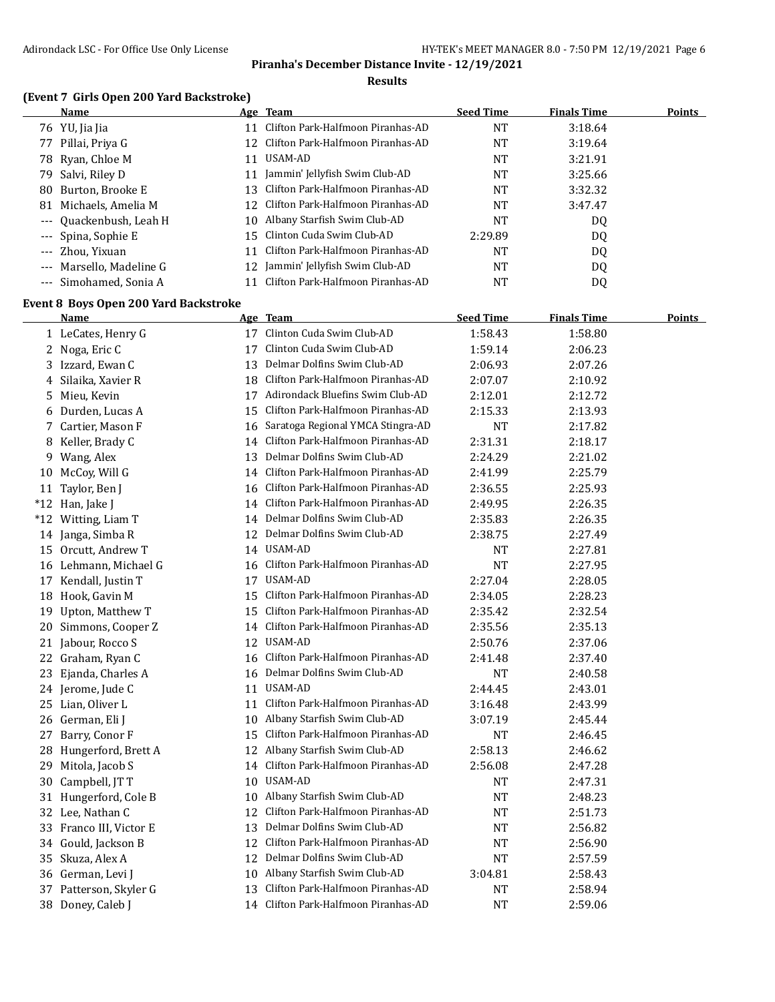### **Results**

## **(Event 7 Girls Open 200 Yard Backstroke)**

|    | <b>Name</b>              |     | Age Team                             | <b>Seed Time</b> | <b>Finals Time</b> | <b>Points</b> |
|----|--------------------------|-----|--------------------------------------|------------------|--------------------|---------------|
|    | 76 YU, Jia Jia           |     | Clifton Park-Halfmoon Piranhas-AD    | NT               | 3:18.64            |               |
|    | 77 Pillai, Priya G       | 12. | Clifton Park-Halfmoon Piranhas-AD    | NT               | 3:19.64            |               |
|    | 78 Ryan, Chloe M         | 11  | USAM-AD                              | NT               | 3:21.91            |               |
|    | 79 Salvi, Riley D        |     | 11 Jammin' Jellyfish Swim Club-AD    | NT               | 3:25.66            |               |
| 80 | Burton, Brooke E         |     | 13 Clifton Park-Halfmoon Piranhas-AD | NT               | 3:32.32            |               |
| 81 | Michaels, Amelia M       |     | 12 Clifton Park-Halfmoon Piranhas-AD | NT               | 3:47.47            |               |
|    | --- Quackenbush, Leah H  | 10  | Albany Starfish Swim Club-AD         | NT               | DQ                 |               |
|    | --- Spina, Sophie E      |     | 15 Clinton Cuda Swim Club-AD         | 2:29.89          | DQ                 |               |
|    | --- Zhou, Yixuan         | 11  | Clifton Park-Halfmoon Piranhas-AD    | NT               | DQ                 |               |
|    | --- Marsello, Madeline G |     | Jammin' Jellyfish Swim Club-AD       | NT               | DQ                 |               |
|    | --- Simohamed, Sonia A   |     | Clifton Park-Halfmoon Piranhas-AD    | NT               | D <sub>0</sub>     |               |

## **Event 8 Boys Open 200 Yard Backstroke**

|    | <b>Name</b>             |    | Age Team                             | <b>Seed Time</b> | <b>Finals Time</b> | <b>Points</b> |
|----|-------------------------|----|--------------------------------------|------------------|--------------------|---------------|
|    | 1 LeCates, Henry G      |    | 17 Clinton Cuda Swim Club-AD         | 1:58.43          | 1:58.80            |               |
|    | 2 Noga, Eric C          | 17 | Clinton Cuda Swim Club-AD            | 1:59.14          | 2:06.23            |               |
|    | 3 Izzard, Ewan C        |    | 13 Delmar Dolfins Swim Club-AD       | 2:06.93          | 2:07.26            |               |
| 4  | Silaika, Xavier R       |    | 18 Clifton Park-Halfmoon Piranhas-AD | 2:07.07          | 2:10.92            |               |
|    | 5 Mieu, Kevin           |    | 17 Adirondack Bluefins Swim Club-AD  | 2:12.01          | 2:12.72            |               |
|    | 6 Durden, Lucas A       | 15 | Clifton Park-Halfmoon Piranhas-AD    | 2:15.33          | 2:13.93            |               |
|    | 7 Cartier, Mason F      | 16 | Saratoga Regional YMCA Stingra-AD    | <b>NT</b>        | 2:17.82            |               |
|    | 8 Keller, Brady C       |    | 14 Clifton Park-Halfmoon Piranhas-AD | 2:31.31          | 2:18.17            |               |
|    | 9 Wang, Alex            | 13 | Delmar Dolfins Swim Club-AD          | 2:24.29          | 2:21.02            |               |
|    | 10 McCoy, Will G        | 14 | Clifton Park-Halfmoon Piranhas-AD    | 2:41.99          | 2:25.79            |               |
| 11 | Taylor, Ben J           | 16 | Clifton Park-Halfmoon Piranhas-AD    | 2:36.55          | 2:25.93            |               |
|    | *12 Han, Jake J         | 14 | Clifton Park-Halfmoon Piranhas-AD    | 2:49.95          | 2:26.35            |               |
|    | *12 Witting, Liam T     | 14 | Delmar Dolfins Swim Club-AD          | 2:35.83          | 2:26.35            |               |
|    | 14 Janga, Simba R       |    | 12 Delmar Dolfins Swim Club-AD       | 2:38.75          | 2:27.49            |               |
|    | 15 Orcutt, Andrew T     |    | 14 USAM-AD                           | NT               | 2:27.81            |               |
|    | 16 Lehmann, Michael G   |    | 16 Clifton Park-Halfmoon Piranhas-AD | <b>NT</b>        | 2:27.95            |               |
|    | 17 Kendall, Justin T    |    | 17 USAM-AD                           | 2:27.04          | 2:28.05            |               |
|    | 18 Hook, Gavin M        |    | 15 Clifton Park-Halfmoon Piranhas-AD | 2:34.05          | 2:28.23            |               |
|    | 19 Upton, Matthew T     |    | 15 Clifton Park-Halfmoon Piranhas-AD | 2:35.42          | 2:32.54            |               |
|    | 20 Simmons, Cooper Z    |    | 14 Clifton Park-Halfmoon Piranhas-AD | 2:35.56          | 2:35.13            |               |
|    | 21 Jabour, Rocco S      |    | 12 USAM-AD                           | 2:50.76          | 2:37.06            |               |
|    | 22 Graham, Ryan C       | 16 | Clifton Park-Halfmoon Piranhas-AD    | 2:41.48          | 2:37.40            |               |
|    | 23 Ejanda, Charles A    |    | 16 Delmar Dolfins Swim Club-AD       | NT               | 2:40.58            |               |
|    | 24 Jerome, Jude C       | 11 | USAM-AD                              | 2:44.45          | 2:43.01            |               |
|    | 25 Lian, Oliver L       | 11 | Clifton Park-Halfmoon Piranhas-AD    | 3:16.48          | 2:43.99            |               |
|    | 26 German, Eli J        | 10 | Albany Starfish Swim Club-AD         | 3:07.19          | 2:45.44            |               |
| 27 | Barry, Conor F          | 15 | Clifton Park-Halfmoon Piranhas-AD    | <b>NT</b>        | 2:46.45            |               |
| 28 | Hungerford, Brett A     |    | 12 Albany Starfish Swim Club-AD      | 2:58.13          | 2:46.62            |               |
| 29 | Mitola, Jacob S         |    | 14 Clifton Park-Halfmoon Piranhas-AD | 2:56.08          | 2:47.28            |               |
| 30 | Campbell, JT T          |    | 10 USAM-AD                           | NΤ               | 2:47.31            |               |
|    | 31 Hungerford, Cole B   |    | 10 Albany Starfish Swim Club-AD      | <b>NT</b>        | 2:48.23            |               |
|    | 32 Lee, Nathan C        |    | 12 Clifton Park-Halfmoon Piranhas-AD | <b>NT</b>        | 2:51.73            |               |
|    | 33 Franco III, Victor E |    | 13 Delmar Dolfins Swim Club-AD       | <b>NT</b>        | 2:56.82            |               |
|    | 34 Gould, Jackson B     | 12 | Clifton Park-Halfmoon Piranhas-AD    | <b>NT</b>        | 2:56.90            |               |
|    | 35 Skuza, Alex A        | 12 | Delmar Dolfins Swim Club-AD          | <b>NT</b>        | 2:57.59            |               |
|    | 36 German, Levi J       | 10 | Albany Starfish Swim Club-AD         | 3:04.81          | 2:58.43            |               |
|    | 37 Patterson, Skyler G  | 13 | Clifton Park-Halfmoon Piranhas-AD    | <b>NT</b>        | 2:58.94            |               |
|    | 38 Doney, Caleb J       |    | 14 Clifton Park-Halfmoon Piranhas-AD | <b>NT</b>        | 2:59.06            |               |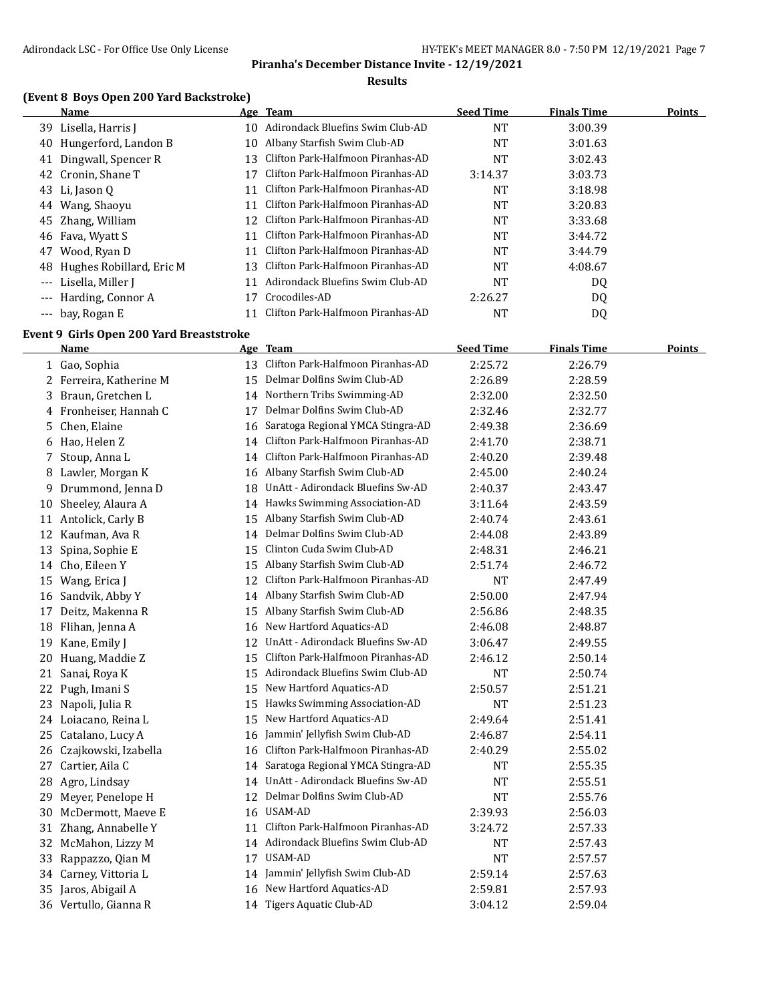### **Results**

# **(Event 8 Boys Open 200 Yard Backstroke)**

|          | Name                     |     | Age Team                          | <b>Seed Time</b> | <b>Finals Time</b> | <b>Points</b> |
|----------|--------------------------|-----|-----------------------------------|------------------|--------------------|---------------|
|          | 39 Lisella, Harris J     | 10  | Adirondack Bluefins Swim Club-AD  | <b>NT</b>        | 3:00.39            |               |
| 40       | Hungerford, Landon B     | 10  | Albany Starfish Swim Club-AD      | NT               | 3:01.63            |               |
| 41       | Dingwall, Spencer R      | 13  | Clifton Park-Halfmoon Piranhas-AD | NT               | 3:02.43            |               |
|          | 42 Cronin, Shane T       | 17  | Clifton Park-Halfmoon Piranhas-AD | 3:14.37          | 3:03.73            |               |
|          | 43 Li, Jason Q           | 11  | Clifton Park-Halfmoon Piranhas-AD | <b>NT</b>        | 3:18.98            |               |
| 44       | Wang, Shaoyu             | 11  | Clifton Park-Halfmoon Piranhas-AD | <b>NT</b>        | 3:20.83            |               |
| 45       | Zhang, William           | 12  | Clifton Park-Halfmoon Piranhas-AD | NT               | 3:33.68            |               |
|          | 46 Fava, Wyatt S         | 11  | Clifton Park-Halfmoon Piranhas-AD | <b>NT</b>        | 3:44.72            |               |
| 47       | Wood, Ryan D             | 11  | Clifton Park-Halfmoon Piranhas-AD | NT               | 3:44.79            |               |
| 48       | Hughes Robillard, Eric M | 13. | Clifton Park-Halfmoon Piranhas-AD | NT               | 4:08.67            |               |
| $\cdots$ | Lisella, Miller J        | 11  | Adirondack Bluefins Swim Club-AD  | NT               | DQ                 |               |
| $---$    | Harding, Connor A        | 17  | Crocodiles-AD                     | 2:26.27          | DQ                 |               |
|          | --- bay, Rogan E         |     | Clifton Park-Halfmoon Piranhas-AD | NT               | DQ                 |               |

### **Event 9 Girls Open 200 Yard Breaststroke**

|    | <b>Name</b>             |    | Age Team                          | <b>Seed Time</b> | <b>Finals Time</b> | <b>Points</b> |
|----|-------------------------|----|-----------------------------------|------------------|--------------------|---------------|
|    | 1 Gao, Sophia           | 13 | Clifton Park-Halfmoon Piranhas-AD | 2:25.72          | 2:26.79            |               |
|    | 2 Ferreira, Katherine M | 15 | Delmar Dolfins Swim Club-AD       | 2:26.89          | 2:28.59            |               |
| 3  | Braun, Gretchen L       | 14 | Northern Tribs Swimming-AD        | 2:32.00          | 2:32.50            |               |
|    | 4 Fronheiser, Hannah C  | 17 | Delmar Dolfins Swim Club-AD       | 2:32.46          | 2:32.77            |               |
| 5. | Chen, Elaine            | 16 | Saratoga Regional YMCA Stingra-AD | 2:49.38          | 2:36.69            |               |
| 6  | Hao, Helen Z            | 14 | Clifton Park-Halfmoon Piranhas-AD | 2:41.70          | 2:38.71            |               |
| 7. | Stoup, Anna L           | 14 | Clifton Park-Halfmoon Piranhas-AD | 2:40.20          | 2:39.48            |               |
| 8  | Lawler, Morgan K        | 16 | Albany Starfish Swim Club-AD      | 2:45.00          | 2:40.24            |               |
| 9. | Drummond, Jenna D       | 18 | UnAtt - Adirondack Bluefins Sw-AD | 2:40.37          | 2:43.47            |               |
| 10 | Sheeley, Alaura A       | 14 | Hawks Swimming Association-AD     | 3:11.64          | 2:43.59            |               |
|    | 11 Antolick, Carly B    | 15 | Albany Starfish Swim Club-AD      | 2:40.74          | 2:43.61            |               |
| 12 | Kaufman, Ava R          | 14 | Delmar Dolfins Swim Club-AD       | 2:44.08          | 2:43.89            |               |
| 13 | Spina, Sophie E         | 15 | Clinton Cuda Swim Club-AD         | 2:48.31          | 2:46.21            |               |
| 14 | Cho, Eileen Y           | 15 | Albany Starfish Swim Club-AD      | 2:51.74          | 2:46.72            |               |
| 15 | Wang, Erica J           | 12 | Clifton Park-Halfmoon Piranhas-AD | <b>NT</b>        | 2:47.49            |               |
| 16 | Sandvik, Abby Y         | 14 | Albany Starfish Swim Club-AD      | 2:50.00          | 2:47.94            |               |
| 17 | Deitz, Makenna R        | 15 | Albany Starfish Swim Club-AD      | 2:56.86          | 2:48.35            |               |
| 18 | Flihan, Jenna A         | 16 | New Hartford Aquatics-AD          | 2:46.08          | 2:48.87            |               |
| 19 | Kane, Emily J           | 12 | UnAtt - Adirondack Bluefins Sw-AD | 3:06.47          | 2:49.55            |               |
| 20 | Huang, Maddie Z         | 15 | Clifton Park-Halfmoon Piranhas-AD | 2:46.12          | 2:50.14            |               |
| 21 | Sanai, Roya K           | 15 | Adirondack Bluefins Swim Club-AD  | <b>NT</b>        | 2:50.74            |               |
| 22 | Pugh, Imani S           | 15 | New Hartford Aquatics-AD          | 2:50.57          | 2:51.21            |               |
| 23 | Napoli, Julia R         | 15 | Hawks Swimming Association-AD     | <b>NT</b>        | 2:51.23            |               |
|    | 24 Loiacano, Reina L    | 15 | New Hartford Aquatics-AD          | 2:49.64          | 2:51.41            |               |
| 25 | Catalano, Lucy A        | 16 | Jammin' Jellyfish Swim Club-AD    | 2:46.87          | 2:54.11            |               |
| 26 | Czajkowski, Izabella    | 16 | Clifton Park-Halfmoon Piranhas-AD | 2:40.29          | 2:55.02            |               |
| 27 | Cartier, Aila C         | 14 | Saratoga Regional YMCA Stingra-AD | NT               | 2:55.35            |               |
| 28 | Agro, Lindsay           | 14 | UnAtt - Adirondack Bluefins Sw-AD | NT               | 2:55.51            |               |
| 29 | Meyer, Penelope H       | 12 | Delmar Dolfins Swim Club-AD       | NT               | 2:55.76            |               |
| 30 | McDermott, Maeve E      | 16 | USAM-AD                           | 2:39.93          | 2:56.03            |               |
| 31 | Zhang, Annabelle Y      | 11 | Clifton Park-Halfmoon Piranhas-AD | 3:24.72          | 2:57.33            |               |
| 32 | McMahon, Lizzy M        | 14 | Adirondack Bluefins Swim Club-AD  | <b>NT</b>        | 2:57.43            |               |
| 33 | Rappazzo, Qian M        | 17 | USAM-AD                           | <b>NT</b>        | 2:57.57            |               |
| 34 | Carney, Vittoria L      | 14 | Jammin' Jellyfish Swim Club-AD    | 2:59.14          | 2:57.63            |               |
| 35 | Jaros, Abigail A        | 16 | New Hartford Aquatics-AD          | 2:59.81          | 2:57.93            |               |
|    | 36 Vertullo, Gianna R   |    | 14 Tigers Aquatic Club-AD         | 3:04.12          | 2:59.04            |               |
|    |                         |    |                                   |                  |                    |               |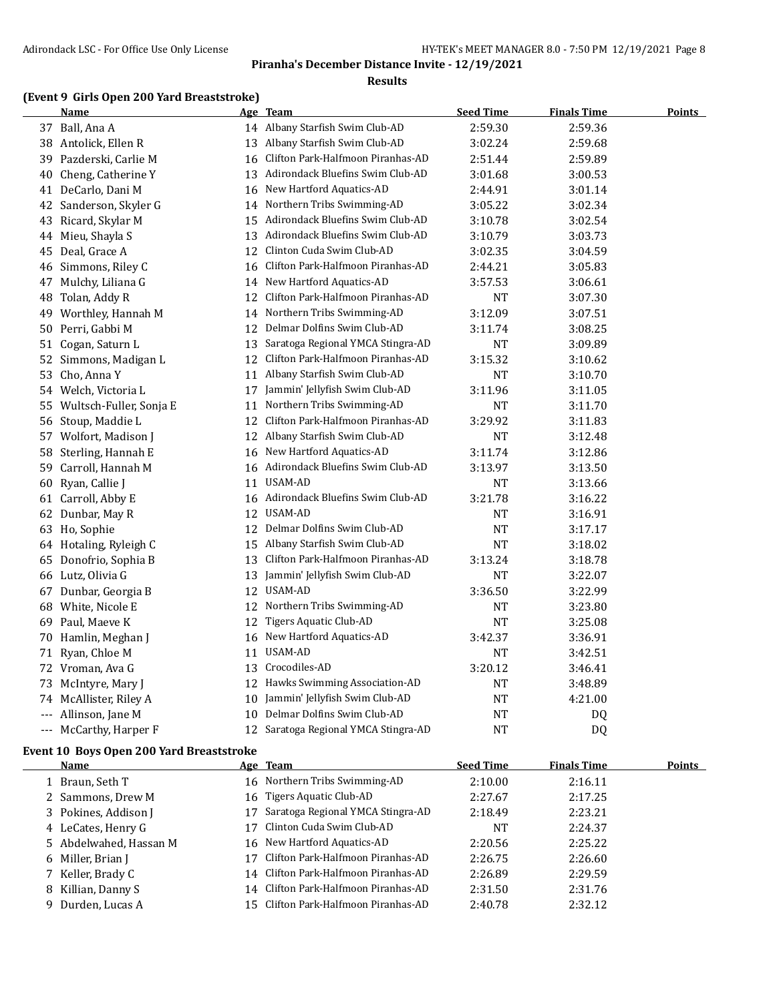### **Results**

## **(Event 9 Girls Open 200 Yard Breaststroke)**

| <u>Name</u>        |                                                                                                                                                                                                                                                                                                                                                                                                                                                                                                                  |                                   | <b>Seed Time</b>                                                                                                                                                                                                                                                                                                                                                                                                                                                                                         | <b>Finals Time</b> | <u>Points</u> |
|--------------------|------------------------------------------------------------------------------------------------------------------------------------------------------------------------------------------------------------------------------------------------------------------------------------------------------------------------------------------------------------------------------------------------------------------------------------------------------------------------------------------------------------------|-----------------------------------|----------------------------------------------------------------------------------------------------------------------------------------------------------------------------------------------------------------------------------------------------------------------------------------------------------------------------------------------------------------------------------------------------------------------------------------------------------------------------------------------------------|--------------------|---------------|
|                    |                                                                                                                                                                                                                                                                                                                                                                                                                                                                                                                  |                                   | 2:59.30                                                                                                                                                                                                                                                                                                                                                                                                                                                                                                  | 2:59.36            |               |
| Antolick, Ellen R  |                                                                                                                                                                                                                                                                                                                                                                                                                                                                                                                  |                                   | 3:02.24                                                                                                                                                                                                                                                                                                                                                                                                                                                                                                  | 2:59.68            |               |
|                    | 16                                                                                                                                                                                                                                                                                                                                                                                                                                                                                                               | Clifton Park-Halfmoon Piranhas-AD | 2:51.44                                                                                                                                                                                                                                                                                                                                                                                                                                                                                                  | 2:59.89            |               |
| Cheng, Catherine Y |                                                                                                                                                                                                                                                                                                                                                                                                                                                                                                                  |                                   | 3:01.68                                                                                                                                                                                                                                                                                                                                                                                                                                                                                                  | 3:00.53            |               |
| DeCarlo, Dani M    | 16                                                                                                                                                                                                                                                                                                                                                                                                                                                                                                               | New Hartford Aquatics-AD          | 2:44.91                                                                                                                                                                                                                                                                                                                                                                                                                                                                                                  | 3:01.14            |               |
|                    |                                                                                                                                                                                                                                                                                                                                                                                                                                                                                                                  |                                   | 3:05.22                                                                                                                                                                                                                                                                                                                                                                                                                                                                                                  | 3:02.34            |               |
|                    |                                                                                                                                                                                                                                                                                                                                                                                                                                                                                                                  |                                   | 3:10.78                                                                                                                                                                                                                                                                                                                                                                                                                                                                                                  | 3:02.54            |               |
| Mieu, Shayla S     | 13                                                                                                                                                                                                                                                                                                                                                                                                                                                                                                               | Adirondack Bluefins Swim Club-AD  | 3:10.79                                                                                                                                                                                                                                                                                                                                                                                                                                                                                                  | 3:03.73            |               |
| Deal, Grace A      | 12                                                                                                                                                                                                                                                                                                                                                                                                                                                                                                               | Clinton Cuda Swim Club-AD         | 3:02.35                                                                                                                                                                                                                                                                                                                                                                                                                                                                                                  | 3:04.59            |               |
| Simmons, Riley C   | 16                                                                                                                                                                                                                                                                                                                                                                                                                                                                                                               | Clifton Park-Halfmoon Piranhas-AD | 2:44.21                                                                                                                                                                                                                                                                                                                                                                                                                                                                                                  | 3:05.83            |               |
| Mulchy, Liliana G  | 14                                                                                                                                                                                                                                                                                                                                                                                                                                                                                                               | New Hartford Aquatics-AD          | 3:57.53                                                                                                                                                                                                                                                                                                                                                                                                                                                                                                  | 3:06.61            |               |
| Tolan, Addy R      |                                                                                                                                                                                                                                                                                                                                                                                                                                                                                                                  | Clifton Park-Halfmoon Piranhas-AD | <b>NT</b>                                                                                                                                                                                                                                                                                                                                                                                                                                                                                                | 3:07.30            |               |
|                    |                                                                                                                                                                                                                                                                                                                                                                                                                                                                                                                  |                                   | 3:12.09                                                                                                                                                                                                                                                                                                                                                                                                                                                                                                  | 3:07.51            |               |
| Perri, Gabbi M     | 12                                                                                                                                                                                                                                                                                                                                                                                                                                                                                                               | Delmar Dolfins Swim Club-AD       | 3:11.74                                                                                                                                                                                                                                                                                                                                                                                                                                                                                                  | 3:08.25            |               |
| Cogan, Saturn L    | 13                                                                                                                                                                                                                                                                                                                                                                                                                                                                                                               | Saratoga Regional YMCA Stingra-AD | <b>NT</b>                                                                                                                                                                                                                                                                                                                                                                                                                                                                                                | 3:09.89            |               |
| Simmons, Madigan L | 12                                                                                                                                                                                                                                                                                                                                                                                                                                                                                                               | Clifton Park-Halfmoon Piranhas-AD | 3:15.32                                                                                                                                                                                                                                                                                                                                                                                                                                                                                                  | 3:10.62            |               |
| Cho, Anna Y        | 11                                                                                                                                                                                                                                                                                                                                                                                                                                                                                                               | Albany Starfish Swim Club-AD      | NT                                                                                                                                                                                                                                                                                                                                                                                                                                                                                                       | 3:10.70            |               |
|                    | 17                                                                                                                                                                                                                                                                                                                                                                                                                                                                                                               | Jammin' Jellyfish Swim Club-AD    | 3:11.96                                                                                                                                                                                                                                                                                                                                                                                                                                                                                                  | 3:11.05            |               |
|                    |                                                                                                                                                                                                                                                                                                                                                                                                                                                                                                                  | Northern Tribs Swimming-AD        | NT                                                                                                                                                                                                                                                                                                                                                                                                                                                                                                       | 3:11.70            |               |
| Stoup, Maddie L    | 12                                                                                                                                                                                                                                                                                                                                                                                                                                                                                                               | Clifton Park-Halfmoon Piranhas-AD | 3:29.92                                                                                                                                                                                                                                                                                                                                                                                                                                                                                                  | 3:11.83            |               |
| Wolfort, Madison J | 12                                                                                                                                                                                                                                                                                                                                                                                                                                                                                                               | Albany Starfish Swim Club-AD      | <b>NT</b>                                                                                                                                                                                                                                                                                                                                                                                                                                                                                                | 3:12.48            |               |
| Sterling, Hannah E | 16                                                                                                                                                                                                                                                                                                                                                                                                                                                                                                               | New Hartford Aquatics-AD          | 3:11.74                                                                                                                                                                                                                                                                                                                                                                                                                                                                                                  | 3:12.86            |               |
| Carroll, Hannah M  |                                                                                                                                                                                                                                                                                                                                                                                                                                                                                                                  |                                   | 3:13.97                                                                                                                                                                                                                                                                                                                                                                                                                                                                                                  | 3:13.50            |               |
| Ryan, Callie J     | 11                                                                                                                                                                                                                                                                                                                                                                                                                                                                                                               | USAM-AD                           | <b>NT</b>                                                                                                                                                                                                                                                                                                                                                                                                                                                                                                | 3:13.66            |               |
|                    |                                                                                                                                                                                                                                                                                                                                                                                                                                                                                                                  |                                   | 3:21.78                                                                                                                                                                                                                                                                                                                                                                                                                                                                                                  | 3:16.22            |               |
| Dunbar, May R      |                                                                                                                                                                                                                                                                                                                                                                                                                                                                                                                  |                                   | NT                                                                                                                                                                                                                                                                                                                                                                                                                                                                                                       | 3:16.91            |               |
|                    | 12                                                                                                                                                                                                                                                                                                                                                                                                                                                                                                               | Delmar Dolfins Swim Club-AD       | <b>NT</b>                                                                                                                                                                                                                                                                                                                                                                                                                                                                                                | 3:17.17            |               |
|                    |                                                                                                                                                                                                                                                                                                                                                                                                                                                                                                                  |                                   | <b>NT</b>                                                                                                                                                                                                                                                                                                                                                                                                                                                                                                | 3:18.02            |               |
| Donofrio, Sophia B | 13                                                                                                                                                                                                                                                                                                                                                                                                                                                                                                               | Clifton Park-Halfmoon Piranhas-AD | 3:13.24                                                                                                                                                                                                                                                                                                                                                                                                                                                                                                  | 3:18.78            |               |
|                    | 13                                                                                                                                                                                                                                                                                                                                                                                                                                                                                                               | Jammin' Jellyfish Swim Club-AD    | <b>NT</b>                                                                                                                                                                                                                                                                                                                                                                                                                                                                                                | 3:22.07            |               |
| Dunbar, Georgia B  |                                                                                                                                                                                                                                                                                                                                                                                                                                                                                                                  |                                   | 3:36.50                                                                                                                                                                                                                                                                                                                                                                                                                                                                                                  | 3:22.99            |               |
| White, Nicole E    | 12                                                                                                                                                                                                                                                                                                                                                                                                                                                                                                               | Northern Tribs Swimming-AD        | NT                                                                                                                                                                                                                                                                                                                                                                                                                                                                                                       | 3:23.80            |               |
| Paul, Maeve K      | 12                                                                                                                                                                                                                                                                                                                                                                                                                                                                                                               | <b>Tigers Aquatic Club-AD</b>     | <b>NT</b>                                                                                                                                                                                                                                                                                                                                                                                                                                                                                                | 3:25.08            |               |
|                    | 16                                                                                                                                                                                                                                                                                                                                                                                                                                                                                                               | New Hartford Aquatics-AD          | 3:42.37                                                                                                                                                                                                                                                                                                                                                                                                                                                                                                  | 3:36.91            |               |
| Ryan, Chloe M      | 11                                                                                                                                                                                                                                                                                                                                                                                                                                                                                                               | <b>USAM-AD</b>                    | <b>NT</b>                                                                                                                                                                                                                                                                                                                                                                                                                                                                                                | 3:42.51            |               |
|                    | 13                                                                                                                                                                                                                                                                                                                                                                                                                                                                                                               | Crocodiles-AD                     | 3:20.12                                                                                                                                                                                                                                                                                                                                                                                                                                                                                                  | 3:46.41            |               |
|                    |                                                                                                                                                                                                                                                                                                                                                                                                                                                                                                                  |                                   |                                                                                                                                                                                                                                                                                                                                                                                                                                                                                                          | 3:48.89            |               |
|                    |                                                                                                                                                                                                                                                                                                                                                                                                                                                                                                                  |                                   | NT                                                                                                                                                                                                                                                                                                                                                                                                                                                                                                       | 4:21.00            |               |
| Allinson, Jane M   | 10                                                                                                                                                                                                                                                                                                                                                                                                                                                                                                               | Delmar Dolfins Swim Club-AD       | NT                                                                                                                                                                                                                                                                                                                                                                                                                                                                                                       | DQ                 |               |
| McCarthy, Harper F |                                                                                                                                                                                                                                                                                                                                                                                                                                                                                                                  |                                   | <b>NT</b>                                                                                                                                                                                                                                                                                                                                                                                                                                                                                                | DQ                 |               |
|                    | 37 Ball, Ana A<br>38<br>39 Pazderski, Carlie M<br>40<br>41<br>42 Sanderson, Skyler G<br>43 Ricard, Skylar M<br>44<br>45<br>46<br>47<br>48<br>49 Worthley, Hannah M<br>50<br>51<br>52<br>53<br>54 Welch, Victoria L<br>55 Wultsch-Fuller, Sonja E<br>56<br>57<br>58<br>59<br>60<br>61 Carroll, Abby E<br>62<br>63 Ho, Sophie<br>64 Hotaling, Ryleigh C<br>65<br>66 Lutz, Olivia G<br>67<br>68<br>69<br>70 Hamlin, Meghan J<br>71<br>72 Vroman, Ava G<br>McIntyre, Mary J<br>73<br>74 McAllister, Riley A<br>$---$ |                                   | Age Team<br>14 Albany Starfish Swim Club-AD<br>13 Albany Starfish Swim Club-AD<br>13 Adirondack Bluefins Swim Club-AD<br>14 Northern Tribs Swimming-AD<br>15 Adirondack Bluefins Swim Club-AD<br>12<br>14 Northern Tribs Swimming-AD<br>11<br>16 Adirondack Bluefins Swim Club-AD<br>16 Adirondack Bluefins Swim Club-AD<br>12 USAM-AD<br>15 Albany Starfish Swim Club-AD<br>12 USAM-AD<br>12 Hawks Swimming Association-AD<br>10 Jammin' Jellyfish Swim Club-AD<br>12 Saratoga Regional YMCA Stingra-AD | $\rm{NT}$          |               |

## **Event 10 Boys Open 200 Yard Breaststroke**

| Name                   | Age Team                             | <b>Seed Time</b> | <b>Finals Time</b> | Points |
|------------------------|--------------------------------------|------------------|--------------------|--------|
| 1 Braun, Seth T        | 16 Northern Tribs Swimming-AD        | 2:10.00          | 2:16.11            |        |
| 2 Sammons, Drew M      | 16 Tigers Aquatic Club-AD            | 2:27.67          | 2:17.25            |        |
| 3 Pokines, Addison J   | Saratoga Regional YMCA Stingra-AD    | 2:18.49          | 2:23.21            |        |
| 4 LeCates, Henry G     | Clinton Cuda Swim Club-AD            | NT               | 2:24.37            |        |
| 5 Abdelwahed, Hassan M | 16 New Hartford Aquatics-AD          | 2:20.56          | 2:25.22            |        |
| 6 Miller, Brian J      | Clifton Park-Halfmoon Piranhas-AD    | 2:26.75          | 2:26.60            |        |
| 7 Keller, Brady C      | 14 Clifton Park-Halfmoon Piranhas-AD | 2:26.89          | 2:29.59            |        |
| 8 Killian, Danny S     | 14 Clifton Park-Halfmoon Piranhas-AD | 2:31.50          | 2:31.76            |        |
| 9 Durden, Lucas A      | 15 Clifton Park-Halfmoon Piranhas-AD | 2:40.78          | 2:32.12            |        |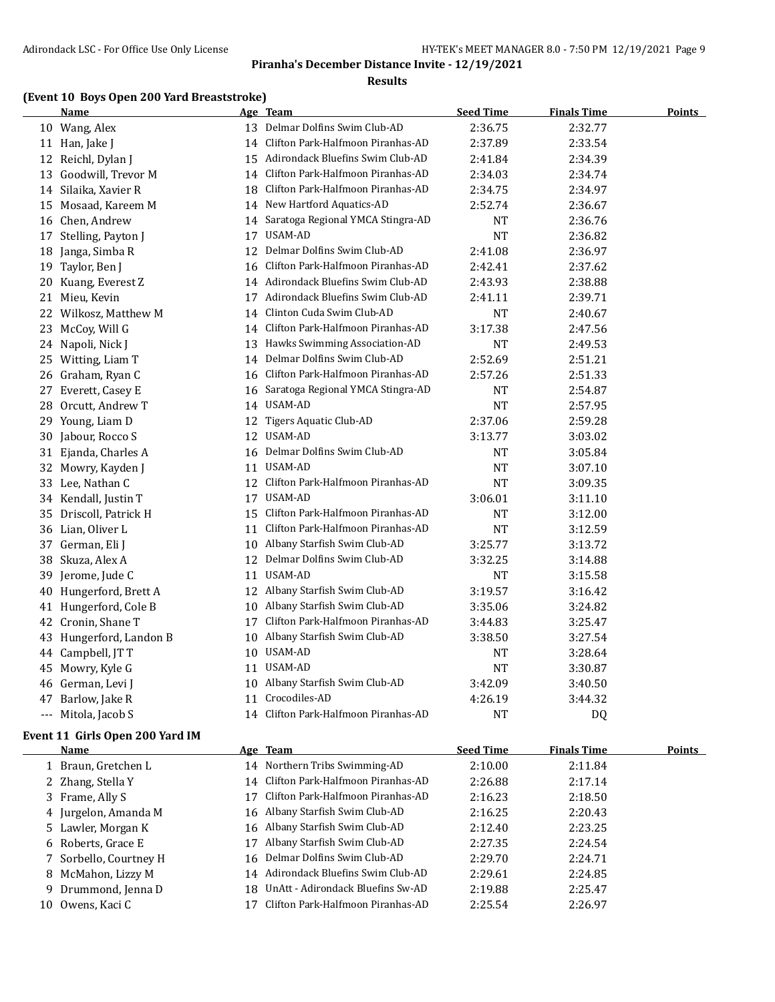### **Results**

## **(Event 10 Boys Open 200 Yard Breaststroke)**

|       | <b>Name</b>           |    | <u>Age Team</u>                      | <b>Seed Time</b> | <b>Finals Time</b> | <b>Points</b> |
|-------|-----------------------|----|--------------------------------------|------------------|--------------------|---------------|
|       | 10 Wang, Alex         |    | 13 Delmar Dolfins Swim Club-AD       | 2:36.75          | 2:32.77            |               |
|       | 11 Han, Jake J        |    | 14 Clifton Park-Halfmoon Piranhas-AD | 2:37.89          | 2:33.54            |               |
| 12    | Reichl, Dylan J       |    | 15 Adirondack Bluefins Swim Club-AD  | 2:41.84          | 2:34.39            |               |
|       | 13 Goodwill, Trevor M |    | 14 Clifton Park-Halfmoon Piranhas-AD | 2:34.03          | 2:34.74            |               |
|       | 14 Silaika, Xavier R  | 18 | Clifton Park-Halfmoon Piranhas-AD    | 2:34.75          | 2:34.97            |               |
| 15    | Mosaad, Kareem M      |    | 14 New Hartford Aquatics-AD          | 2:52.74          | 2:36.67            |               |
|       | 16 Chen, Andrew       | 14 | Saratoga Regional YMCA Stingra-AD    | <b>NT</b>        | 2:36.76            |               |
|       | 17 Stelling, Payton J |    | 17 USAM-AD                           | <b>NT</b>        | 2:36.82            |               |
| 18    | Janga, Simba R        | 12 | Delmar Dolfins Swim Club-AD          | 2:41.08          | 2:36.97            |               |
| 19    | Taylor, Ben J         | 16 | Clifton Park-Halfmoon Piranhas-AD    | 2:42.41          | 2:37.62            |               |
| 20    | Kuang, Everest Z      | 14 | Adirondack Bluefins Swim Club-AD     | 2:43.93          | 2:38.88            |               |
|       | 21 Mieu, Kevin        | 17 | Adirondack Bluefins Swim Club-AD     | 2:41.11          | 2:39.71            |               |
|       | 22 Wilkosz, Matthew M | 14 | Clinton Cuda Swim Club-AD            | <b>NT</b>        | 2:40.67            |               |
| 23    | McCoy, Will G         | 14 | Clifton Park-Halfmoon Piranhas-AD    | 3:17.38          | 2:47.56            |               |
| 24    | Napoli, Nick J        | 13 | Hawks Swimming Association-AD        | <b>NT</b>        | 2:49.53            |               |
| 25    | Witting, Liam T       |    | 14 Delmar Dolfins Swim Club-AD       | 2:52.69          | 2:51.21            |               |
|       | 26 Graham, Ryan C     |    | 16 Clifton Park-Halfmoon Piranhas-AD | 2:57.26          | 2:51.33            |               |
| 27    | Everett, Casey E      | 16 | Saratoga Regional YMCA Stingra-AD    | NT               | 2:54.87            |               |
| 28    | Orcutt, Andrew T      |    | 14 USAM-AD                           | <b>NT</b>        | 2:57.95            |               |
| 29    | Young, Liam D         | 12 | Tigers Aquatic Club-AD               | 2:37.06          | 2:59.28            |               |
| 30    | Jabour, Rocco S       | 12 | USAM-AD                              | 3:13.77          | 3:03.02            |               |
| 31    | Ejanda, Charles A     | 16 | Delmar Dolfins Swim Club-AD          | <b>NT</b>        | 3:05.84            |               |
|       | 32 Mowry, Kayden J    |    | 11 USAM-AD                           | <b>NT</b>        | 3:07.10            |               |
|       | 33 Lee, Nathan C      |    | 12 Clifton Park-Halfmoon Piranhas-AD | <b>NT</b>        | 3:09.35            |               |
|       | 34 Kendall, Justin T  |    | 17 USAM-AD                           | 3:06.01          | 3:11.10            |               |
| 35    | Driscoll, Patrick H   | 15 | Clifton Park-Halfmoon Piranhas-AD    | NT               | 3:12.00            |               |
|       | 36 Lian, Oliver L     | 11 | Clifton Park-Halfmoon Piranhas-AD    | <b>NT</b>        | 3:12.59            |               |
|       | 37 German, Eli J      | 10 | Albany Starfish Swim Club-AD         | 3:25.77          | 3:13.72            |               |
| 38    | Skuza, Alex A         | 12 | Delmar Dolfins Swim Club-AD          | 3:32.25          | 3:14.88            |               |
| 39    | Jerome, Jude C        | 11 | USAM-AD                              | <b>NT</b>        | 3:15.58            |               |
| 40    | Hungerford, Brett A   |    | 12 Albany Starfish Swim Club-AD      | 3:19.57          | 3:16.42            |               |
| 41    | Hungerford, Cole B    |    | 10 Albany Starfish Swim Club-AD      | 3:35.06          | 3:24.82            |               |
| 42    | Cronin, Shane T       | 17 | Clifton Park-Halfmoon Piranhas-AD    | 3:44.83          | 3:25.47            |               |
| 43    | Hungerford, Landon B  | 10 | Albany Starfish Swim Club-AD         | 3:38.50          | 3:27.54            |               |
| 44    | Campbell, JTT         |    | 10 USAM-AD                           | <b>NT</b>        | 3:28.64            |               |
| 45    | Mowry, Kyle G         |    | 11 USAM-AD                           | <b>NT</b>        | 3:30.87            |               |
| 46    | German, Levi J        | 10 | Albany Starfish Swim Club-AD         | 3:42.09          | 3:40.50            |               |
| 47    | Barlow, Jake R        | 11 | Crocodiles-AD                        | 4:26.19          | 3:44.32            |               |
| $---$ | Mitola, Jacob S       |    | 14 Clifton Park-Halfmoon Piranhas-AD | NT               | DQ                 |               |
|       |                       |    |                                      |                  |                    |               |

### **Event 11 Girls Open 200 Yard IM**

|    | Name                   | Age Team                             | <b>Seed Time</b> | <b>Finals Time</b> | <b>Points</b> |
|----|------------------------|--------------------------------------|------------------|--------------------|---------------|
|    | 1 Braun, Gretchen L    | 14 Northern Tribs Swimming-AD        | 2:10.00          | 2:11.84            |               |
|    | 2 Zhang, Stella Y      | 14 Clifton Park-Halfmoon Piranhas-AD | 2:26.88          | 2:17.14            |               |
|    | 3 Frame, Ally S        | Clifton Park-Halfmoon Piranhas-AD    | 2:16.23          | 2:18.50            |               |
|    | 4 Jurgelon, Amanda M   | 16 Albany Starfish Swim Club-AD      | 2:16.25          | 2:20.43            |               |
|    | 5 Lawler, Morgan K     | 16 Albany Starfish Swim Club-AD      | 2:12.40          | 2:23.25            |               |
|    | 6 Roberts, Grace E     | Albany Starfish Swim Club-AD         | 2:27.35          | 2:24.54            |               |
|    | 7 Sorbello, Courtney H | 16 Delmar Dolfins Swim Club-AD       | 2:29.70          | 2:24.71            |               |
|    | 8 McMahon, Lizzy M     | 14 Adirondack Bluefins Swim Club-AD  | 2:29.61          | 2:24.85            |               |
|    | 9 Drummond, Jenna D    | 18 UnAtt - Adirondack Bluefins Sw-AD | 2:19.88          | 2:25.47            |               |
| 10 | Owens, Kaci C          | Clifton Park-Halfmoon Piranhas-AD    | 2:25.54          | 2:26.97            |               |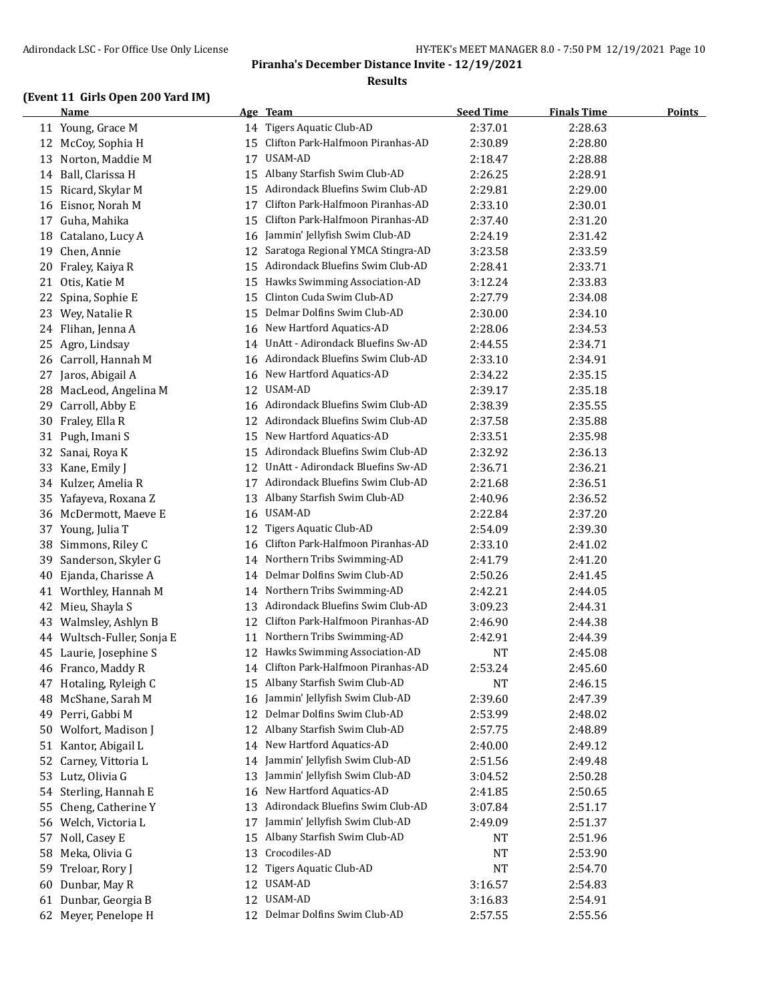### **Results**

## **(Event 11 Girls Open 200 Yard IM)**

|    | <b>Name</b>                          |    | Age Team                          | <b>Seed Time</b> | <b>Finals Time</b> | <b>Points</b> |
|----|--------------------------------------|----|-----------------------------------|------------------|--------------------|---------------|
|    | 11 Young, Grace M                    |    | 14 Tigers Aquatic Club-AD         | 2:37.01          | 2:28.63            |               |
|    | 12 McCoy, Sophia H                   | 15 | Clifton Park-Halfmoon Piranhas-AD | 2:30.89          | 2:28.80            |               |
| 13 | Norton, Maddie M                     | 17 | USAM-AD                           | 2:18.47          | 2:28.88            |               |
| 14 | Ball, Clarissa H                     | 15 | Albany Starfish Swim Club-AD      | 2:26.25          | 2:28.91            |               |
| 15 | Ricard, Skylar M                     | 15 | Adirondack Bluefins Swim Club-AD  | 2:29.81          | 2:29.00            |               |
| 16 | Eisnor, Norah M                      | 17 | Clifton Park-Halfmoon Piranhas-AD | 2:33.10          | 2:30.01            |               |
| 17 | Guha, Mahika                         | 15 | Clifton Park-Halfmoon Piranhas-AD | 2:37.40          | 2:31.20            |               |
| 18 | Catalano, Lucy A                     | 16 | Jammin' Jellyfish Swim Club-AD    | 2:24.19          | 2:31.42            |               |
| 19 | Chen, Annie                          | 12 | Saratoga Regional YMCA Stingra-AD | 3:23.58          | 2:33.59            |               |
| 20 | Fraley, Kaiya R                      | 15 | Adirondack Bluefins Swim Club-AD  | 2:28.41          | 2:33.71            |               |
| 21 | Otis, Katie M                        | 15 | Hawks Swimming Association-AD     | 3:12.24          | 2:33.83            |               |
| 22 | Spina, Sophie E                      | 15 | Clinton Cuda Swim Club-AD         | 2:27.79          | 2:34.08            |               |
| 23 | Wey, Natalie R                       | 15 | Delmar Dolfins Swim Club-AD       | 2:30.00          | 2:34.10            |               |
| 24 | Flihan, Jenna A                      | 16 | New Hartford Aquatics-AD          | 2:28.06          | 2:34.53            |               |
| 25 | Agro, Lindsay                        | 14 | UnAtt - Adirondack Bluefins Sw-AD | 2:44.55          | 2:34.71            |               |
|    | 26 Carroll, Hannah M                 | 16 | Adirondack Bluefins Swim Club-AD  | 2:33.10          | 2:34.91            |               |
| 27 | Jaros, Abigail A                     | 16 | New Hartford Aquatics-AD          | 2:34.22          | 2:35.15            |               |
| 28 | MacLeod, Angelina M                  | 12 | USAM-AD                           | 2:39.17          | 2:35.18            |               |
| 29 | Carroll, Abby E                      | 16 | Adirondack Bluefins Swim Club-AD  | 2:38.39          | 2:35.55            |               |
| 30 | Fraley, Ella R                       | 12 | Adirondack Bluefins Swim Club-AD  | 2:37.58          | 2:35.88            |               |
| 31 | Pugh, Imani S                        | 15 | New Hartford Aquatics-AD          | 2:33.51          | 2:35.98            |               |
| 32 | Sanai, Roya K                        | 15 | Adirondack Bluefins Swim Club-AD  | 2:32.92          | 2:36.13            |               |
| 33 | Kane, Emily J                        | 12 | UnAtt - Adirondack Bluefins Sw-AD | 2:36.71          | 2:36.21            |               |
| 34 | Kulzer, Amelia R                     | 17 | Adirondack Bluefins Swim Club-AD  | 2:21.68          | 2:36.51            |               |
| 35 | Yafayeva, Roxana Z                   | 13 | Albany Starfish Swim Club-AD      | 2:40.96          | 2:36.52            |               |
| 36 | McDermott, Maeve E                   | 16 | USAM-AD                           | 2:22.84          | 2:37.20            |               |
| 37 | Young, Julia T                       | 12 | <b>Tigers Aquatic Club-AD</b>     | 2:54.09          | 2:39.30            |               |
| 38 | Simmons, Riley C                     | 16 | Clifton Park-Halfmoon Piranhas-AD | 2:33.10          | 2:41.02            |               |
| 39 | Sanderson, Skyler G                  | 14 | Northern Tribs Swimming-AD        | 2:41.79          | 2:41.20            |               |
| 40 | Ejanda, Charisse A                   | 14 | Delmar Dolfins Swim Club-AD       | 2:50.26          | 2:41.45            |               |
| 41 | Worthley, Hannah M                   | 14 | Northern Tribs Swimming-AD        | 2:42.21          | 2:44.05            |               |
| 42 | Mieu, Shayla S                       | 13 | Adirondack Bluefins Swim Club-AD  | 3:09.23          | 2:44.31            |               |
| 43 | Walmsley, Ashlyn B                   | 12 | Clifton Park-Halfmoon Piranhas-AD | 2:46.90          | 2:44.38            |               |
| 44 | Wultsch-Fuller, Sonja E              | 11 | Northern Tribs Swimming-AD        | 2:42.91          | 2:44.39            |               |
| 45 | Laurie, Josephine S                  | 12 | Hawks Swimming Association-AD     | <b>NT</b>        | 2:45.08            |               |
|    | 46 Franco, Maddy R                   | 14 | Clifton Park-Halfmoon Piranhas-AD | 2:53.24          | 2:45.60            |               |
| 47 | Hotaling, Ryleigh C                  |    | 15 Albany Starfish Swim Club-AD   | <b>NT</b>        | 2:46.15            |               |
| 48 | McShane, Sarah M                     | 16 | Jammin' Jellyfish Swim Club-AD    | 2:39.60          | 2:47.39            |               |
| 49 | Perri, Gabbi M                       | 12 | Delmar Dolfins Swim Club-AD       | 2:53.99          | 2:48.02            |               |
| 50 | Wolfort, Madison J                   | 12 | Albany Starfish Swim Club-AD      | 2:57.75          | 2:48.89            |               |
| 51 | Kantor, Abigail L                    | 14 | New Hartford Aquatics-AD          | 2:40.00          | 2:49.12            |               |
| 52 | Carney, Vittoria L                   | 14 | Jammin' Jellyfish Swim Club-AD    | 2:51.56          | 2:49.48            |               |
|    |                                      | 13 | Jammin' Jellyfish Swim Club-AD    |                  |                    |               |
| 53 | Lutz, Olivia G<br>Sterling, Hannah E | 16 | New Hartford Aquatics-AD          | 3:04.52          | 2:50.28            |               |
| 54 |                                      |    | Adirondack Bluefins Swim Club-AD  | 2:41.85          | 2:50.65            |               |
| 55 | Cheng, Catherine Y                   | 13 | Jammin' Jellyfish Swim Club-AD    | 3:07.84          | 2:51.17            |               |
|    | 56 Welch, Victoria L                 | 17 |                                   | 2:49.09          | 2:51.37            |               |
| 57 | Noll, Casey E                        | 15 | Albany Starfish Swim Club-AD      | NT               | 2:51.96            |               |
| 58 | Meka, Olivia G                       | 13 | Crocodiles-AD                     | NT               | 2:53.90            |               |
| 59 | Treloar, Rory J                      | 12 | Tigers Aquatic Club-AD            | <b>NT</b>        | 2:54.70            |               |
| 60 | Dunbar, May R                        | 12 | USAM-AD                           | 3:16.57          | 2:54.83            |               |
| 61 | Dunbar, Georgia B                    |    | 12 USAM-AD                        | 3:16.83          | 2:54.91            |               |
| 62 | Meyer, Penelope H                    |    | 12 Delmar Dolfins Swim Club-AD    | 2:57.55          | 2:55.56            |               |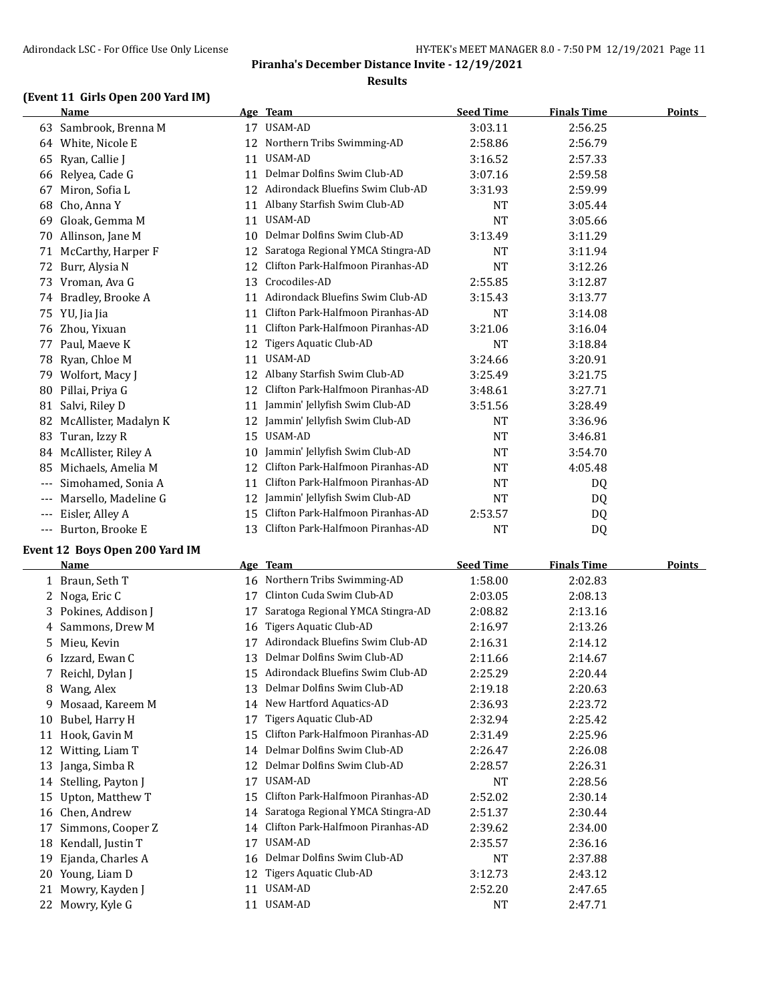### **Results**

## **(Event 11 Girls Open 200 Yard IM)**

|       | <b>Name</b>           |    | Age Team                          | <b>Seed Time</b> | <b>Finals Time</b> | <b>Points</b> |
|-------|-----------------------|----|-----------------------------------|------------------|--------------------|---------------|
| 63    | Sambrook, Brenna M    | 17 | USAM-AD                           | 3:03.11          | 2:56.25            |               |
| 64    | White, Nicole E       | 12 | Northern Tribs Swimming-AD        | 2:58.86          | 2:56.79            |               |
| 65    | Ryan, Callie J        | 11 | USAM-AD                           | 3:16.52          | 2:57.33            |               |
| 66    | Relyea, Cade G        | 11 | Delmar Dolfins Swim Club-AD       | 3:07.16          | 2:59.58            |               |
| 67    | Miron, Sofia L        | 12 | Adirondack Bluefins Swim Club-AD  | 3:31.93          | 2:59.99            |               |
| 68    | Cho, Anna Y           | 11 | Albany Starfish Swim Club-AD      | <b>NT</b>        | 3:05.44            |               |
| 69    | Gloak, Gemma M        | 11 | USAM-AD                           | <b>NT</b>        | 3:05.66            |               |
| 70    | Allinson, Jane M      | 10 | Delmar Dolfins Swim Club-AD       | 3:13.49          | 3:11.29            |               |
| 71    | McCarthy, Harper F    | 12 | Saratoga Regional YMCA Stingra-AD | <b>NT</b>        | 3:11.94            |               |
| 72    | Burr, Alysia N        | 12 | Clifton Park-Halfmoon Piranhas-AD | <b>NT</b>        | 3:12.26            |               |
| 73    | Vroman, Ava G         | 13 | Crocodiles-AD                     | 2:55.85          | 3:12.87            |               |
| 74    | Bradley, Brooke A     | 11 | Adirondack Bluefins Swim Club-AD  | 3:15.43          | 3:13.77            |               |
| 75    | YU, Jia Jia           | 11 | Clifton Park-Halfmoon Piranhas-AD | NT               | 3:14.08            |               |
| 76    | Zhou, Yixuan          | 11 | Clifton Park-Halfmoon Piranhas-AD | 3:21.06          | 3:16.04            |               |
| 77    | Paul, Maeve K         | 12 | Tigers Aquatic Club-AD            | NT               | 3:18.84            |               |
| 78    | Ryan, Chloe M         | 11 | USAM-AD                           | 3:24.66          | 3:20.91            |               |
| 79    | Wolfort, Macy J       | 12 | Albany Starfish Swim Club-AD      | 3:25.49          | 3:21.75            |               |
| 80    | Pillai, Priya G       | 12 | Clifton Park-Halfmoon Piranhas-AD | 3:48.61          | 3:27.71            |               |
| 81    | Salvi, Riley D        | 11 | Jammin' Jellyfish Swim Club-AD    | 3:51.56          | 3:28.49            |               |
| 82    | McAllister, Madalyn K | 12 | Jammin' Jellyfish Swim Club-AD    | <b>NT</b>        | 3:36.96            |               |
| 83    | Turan, Izzy R         | 15 | USAM-AD                           | NT               | 3:46.81            |               |
| 84    | McAllister, Riley A   | 10 | Jammin' Jellyfish Swim Club-AD    | NT               | 3:54.70            |               |
| 85    | Michaels, Amelia M    | 12 | Clifton Park-Halfmoon Piranhas-AD | NT               | 4:05.48            |               |
| $---$ | Simohamed, Sonia A    | 11 | Clifton Park-Halfmoon Piranhas-AD | NT               | DQ                 |               |
| $---$ | Marsello, Madeline G  | 12 | Jammin' Jellyfish Swim Club-AD    | <b>NT</b>        | DQ.                |               |
| $---$ | Eisler, Alley A       | 15 | Clifton Park-Halfmoon Piranhas-AD | 2:53.57          | DQ                 |               |
| $---$ | Burton, Brooke E      | 13 | Clifton Park-Halfmoon Piranhas-AD | NT               | D <sub>0</sub>     |               |

## **Event 12 Boys Open 200 Yard IM**

|    | Name               |    | Age Team                          | <b>Seed Time</b> | <b>Finals Time</b> | <b>Points</b> |
|----|--------------------|----|-----------------------------------|------------------|--------------------|---------------|
|    | 1 Braun, Seth T    | 16 | Northern Tribs Swimming-AD        | 1:58.00          | 2:02.83            |               |
|    | 2 Noga, Eric C     | 17 | Clinton Cuda Swim Club-AD         | 2:03.05          | 2:08.13            |               |
| 3. | Pokines, Addison J | 17 | Saratoga Regional YMCA Stingra-AD | 2:08.82          | 2:13.16            |               |
| 4  | Sammons, Drew M    | 16 | Tigers Aquatic Club-AD            | 2:16.97          | 2:13.26            |               |
| 5  | Mieu, Kevin        | 17 | Adirondack Bluefins Swim Club-AD  | 2:16.31          | 2:14.12            |               |
| 6  | Izzard, Ewan C     | 13 | Delmar Dolfins Swim Club-AD       | 2:11.66          | 2:14.67            |               |
|    | 7 Reichl, Dylan J  | 15 | Adirondack Bluefins Swim Club-AD  | 2:25.29          | 2:20.44            |               |
| 8  | Wang, Alex         | 13 | Delmar Dolfins Swim Club-AD       | 2:19.18          | 2:20.63            |               |
| 9  | Mosaad, Kareem M   | 14 | New Hartford Aquatics-AD          | 2:36.93          | 2:23.72            |               |
| 10 | Bubel, Harry H     | 17 | Tigers Aquatic Club-AD            | 2:32.94          | 2:25.42            |               |
| 11 | Hook, Gavin M      | 15 | Clifton Park-Halfmoon Piranhas-AD | 2:31.49          | 2:25.96            |               |
| 12 | Witting, Liam T    | 14 | Delmar Dolfins Swim Club-AD       | 2:26.47          | 2:26.08            |               |
| 13 | Janga, Simba R     | 12 | Delmar Dolfins Swim Club-AD       | 2:28.57          | 2:26.31            |               |
| 14 | Stelling, Payton J | 17 | USAM-AD                           | NT               | 2:28.56            |               |
| 15 | Upton, Matthew T   | 15 | Clifton Park-Halfmoon Piranhas-AD | 2:52.02          | 2:30.14            |               |
| 16 | Chen, Andrew       | 14 | Saratoga Regional YMCA Stingra-AD | 2:51.37          | 2:30.44            |               |
| 17 | Simmons, Cooper Z  | 14 | Clifton Park-Halfmoon Piranhas-AD | 2:39.62          | 2:34.00            |               |
| 18 | Kendall, Justin T  | 17 | USAM-AD                           | 2:35.57          | 2:36.16            |               |
| 19 | Ejanda, Charles A  | 16 | Delmar Dolfins Swim Club-AD       | NT               | 2:37.88            |               |
| 20 | Young, Liam D      | 12 | Tigers Aquatic Club-AD            | 3:12.73          | 2:43.12            |               |
| 21 | Mowry, Kayden J    | 11 | USAM-AD                           | 2:52.20          | 2:47.65            |               |
| 22 | Mowry, Kyle G      | 11 | USAM-AD                           | NT               | 2:47.71            |               |